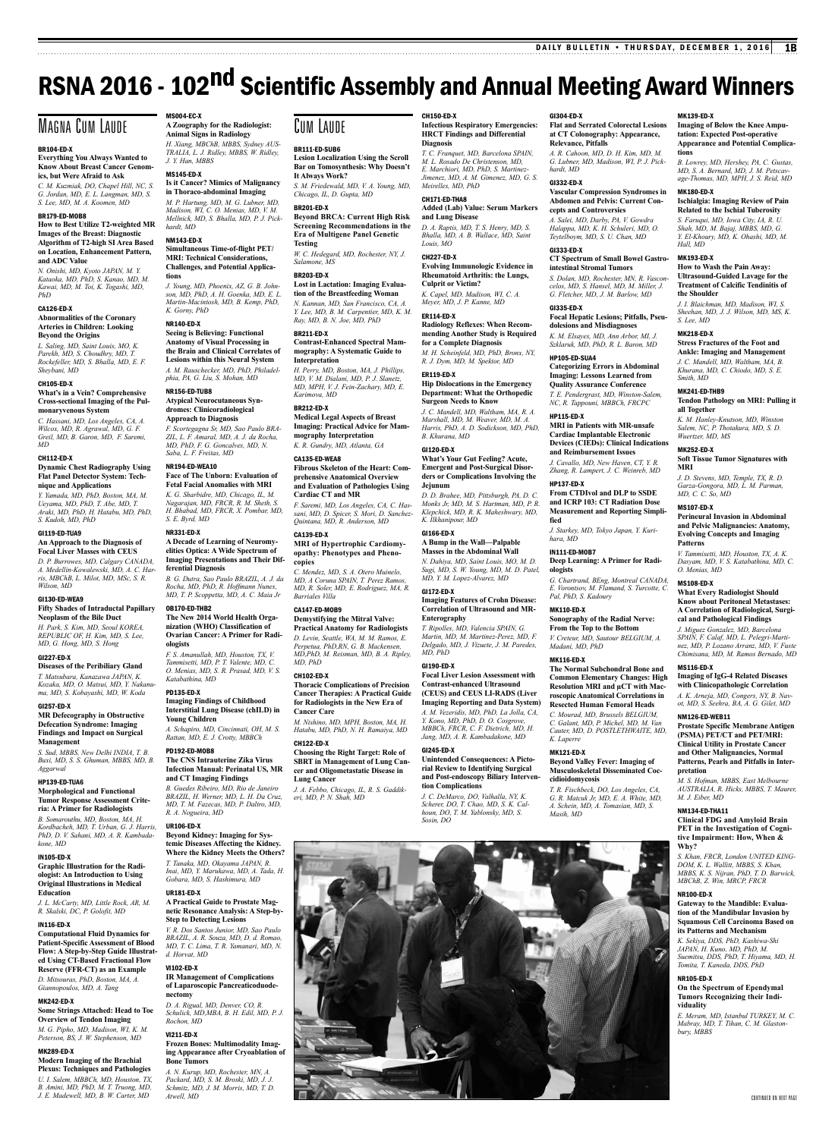MK139-ED-X

MK180-ED-X

*Hall, MD* MK193-ED-X

**the Shoulder**

*S. Lee, MD* MK218-ED-X

*Smith, MD* MK241-ED-THB9

**all Together**

**MRI**

MS107-ED-X

**Patterns**

*O. Menias, MD* MS108-ED-X

MS116-ED-X

NM126-ED-WEB11

**pretation**

**Why?**

NR100-ED-X

NR105-ED-X

**viduality**

*bury, MBBS*

*M. J. Eiber, MD* NM134-ED-THA11

*Wuertzer, MD, MS* MK252-ED-X

**tions**

**Imaging of Below the Knee Amputation: Expected Post-operative Appearance and Potential Complica-**

*B. Lowrey, MD, Hershey, PA, C. Gustas, MD, S. A. Bernard, MD, J. M. Petscav-age-Thomas, MD, MPH, J. S. Reid, MD*

**Ischialgia: Imaging Review of Pain Related to the Ischial Tuberosity** *S. Faruqui, MD, Iowa City, IA, R. U. Shah, MD, M. Bajaj, MBBS, MD, G. Y. El-Khoury, MD, K. Ohashi, MD, M.* 

**How to Wash the Pain Away: Ultrasound-Guided Lavage for the Treatment of Calcific Tendinitis of** 

*J. I. Blaichman, MD, Madison, WI, S. Sheehan, MD, J. J. Wilson, MD, MS, K.* 

**Stress Fractures of the Foot and Ankle: Imaging and Management** *J. C. Mandell, MD, Waltham, MA, B. Khurana, MD, C. Chiodo, MD, S. E.* 

**Tendon Pathology on MRI: Pulling it** 

*K. M. Hanley-Knutson, MD, Winston Salem, NC, P. Thotakura, MD, S. D.* 

**Soft Tissue Tumor Signatures with** 

*J. D. Stevens, MD, Temple, TX, R. D. Garza-Gongora, MD, L. M. Parman, MD, C. C. So, MD*

**Perineural Invasion in Abdominal and Pelvic Malignancies: Anatomy, Evolving Concepts and Imaging** 

*V. Tammisetti, MD, Houston, TX, A. K. Dasyam, MD, V. S. Katabathina, MD, C.* 

**What Every Radiologist Should Know about Peritoneal Metastases: A Correlation of Radiological, Surgical and Pathological Findings** *J. Miguez Gonzalez, MD, Barcelona SPAIN, F. Calaf, MD, L. Pelegri-Martinez, MD, P. Lozano Arranz, MD, V. Fuste Chimisana, MD, M. Ramos Bernado, MD*

**Imaging of IgG-4 Related Diseases with Clinicopathologic Correlation** *A. K. Arneja, MD, Congers, NY, B. Navot, MD, S. Seehra, BA, A. G. Gilet, MD*

**Prostate Specific Membrane Antigen (PSMA) PET/CT and PET/MRI: Clinical Utility in Prostate Cancer and Other Malignancies, Normal Patterns, Pearls and Pitfalls in Inter-**

*M. S. Hofman, MBBS, East Melbourne AUSTRALIA, R. Hicks, MBBS, T. Maurer,* 

**Clinical FDG and Amyloid Brain PET in the Investigation of Cognitive Impairment: How, When &** 

*S. Khan, FRCR, London UNITED KING-DOM, K. L. Wallitt, MBBS, S. Khan, MBBS, K. S. Nijran, PhD, T. D. Barwick, MBChB, Z. Win, MRCP, FRCR*

**Gateway to the Mandible: Evaluation of the Mandibular Invasion by Squamous Cell Carcinoma Based on its Patterns and Mechanism** *K. Sekiya, DDS, PhD, Kashiwa-Shi JAPAN, H. Kuno, MD, PhD, M. Suemitsu, DDS, PhD, T. Hiyama, MD, H. Tomita, T. Kaneda, DDS, PhD*

**On the Spectrum of Ependymal Tumors Recognizing their Indi-**

*E. Meram, MD, Istanbul TURKEY, M. C. Mabray, MD, T. Tihan, C. M. Glaston-*

Continued on next page

# RSNA 2016 - 102<sup>nd</sup> Scientific Assembly and Annual Meeting Award Winners

# Magna Cum Laude

# BR104-ED-X

**Everything You Always Wanted to Know About Breast Cancer Genomics, but Were Afraid to Ask** *C. M. Kuzmiak, DO, Chapel Hill, NC, S. G. Jordan, MD, E. L. Langman, MD, S. S. Lee, MD, M. A. Koomen, MD*

# BR179-ED-MOB8

**How to Best Utilize T2-weighted MR Images of the Breast: Diagnostic Algorithm of T2-high SI Area Based on Location, Enhancement Pattern, and ADC Value**

*N. Onishi, MD, Kyoto JAPAN, M. Y. Kataoka, MD, PhD, S. Kanao, MD, M. Kawai, MD, M. Toi, K. Togashi, MD, PhD*

## CA126-ED-X **Abnormalities of the Coronary**

**Arteries in Children: Looking Beyond the Origins** *L. Saling, MD, Saint Louis, MO, K. Parekh, MD, S. Choudhry, MD, T. Rockefeller, MD, S. Bhalla, MD, E. F.* 

# *Sheybani, MD* CH105-ED-X **What's in a Vein? Comprehensive**

# **Cross-sectional Imaging of the Pulmonaryvenous System** *C. Hassani, MD, Los Angeles, CA, A.*

*Wilcox, MD, R. Agrawal, MD, G. F. Greil, MD, B. Garon, MD, F. Saremi, MD*

# CH112-ED-X **Dynamic Chest Radiography Using**

**Flat Panel Detector System: Technique and Applications** *Y. Yamada, MD, PhD, Boston, MA, M.* 

*Ueyama, MD, PhD, T. Abe, MD, T. Araki, MD, PhD, H. Hatabu, MD, PhD, S. Kudoh, MD, PhD*

### GI119-ED-TUA9 **An Approach to the Diagnosis of Focal Liver Masses with CEUS**

*D. P. Burrowes, MD, Calgary CANADA, A. Medellin-Kowalewski, MD, A. C. Harris, MBChB, L. Milot, MD, MSc, S. R. Wilson, MD*

# GI130-ED-WEA9

**Fifty Shades of Intraductal Papillary Neoplasm of the Bile Duct** *H. Park, S. Kim, MD, Seoul KOREA, REPUBLIC OF, H. Kim, MD, S. Lee,* 

# *MD, G. Hong, MD, S. Hong* GI227-ED-X

**Diseases of the Peribiliary Gland** *T. Matsubara, Kanazawa JAPAN, K. Kozaka, MD, O. Matsui, MD, Y. Nakanu-*

*ma, MD, S. Kobayashi, MD, W. Koda* GI257-ED-X **MR Defecography in Obstructive Defecation Syndrome: Imaging** 

# **Findings and Impact on Surgical Management**

*S. Sud, MBBS, New Delhi INDIA, T. B. Buxi, MD, S. S. Ghuman, MBBS, MD, B. Aggarwal* HP139-ED-TUA6

**Morphological and Functional Tumor Response Assessment Criteria: A Primer for Radiologists**

# *B. Somarouthu, MD, Boston, MA, H. Kordbacheh, MD, T. Urban, G. J. Harris,*

*PhD, D. V. Sahani, MD, A. R. Kambadakone, MD* IN105-ED-X

# **Graphic Illustration for the Radiologist: An Introduction to Using**

**Original Illustrations in Medical Education** *J. L. McCarty, MD, Little Rock, AR, M. R. Skalski, DC, P. Golofit, MD*

# IN116-ED-X

**Computational Fluid Dynamics for Patient-Specific Assessment of Blood Flow: A Step-by-Step Guide Illustrated Using CT-Based Fractional Flow Reserve (FFR-CT) as an Example**

# *D. Mitsouras, PhD, Boston, MA, A. Giannopoulos, MD, A. Tang* MK242-ED-X

*Peterson, BS, J. W. Stephenson, MD*

**Some Strings Attached: Head to Toe Overview of Tendon Imaging** *M. G. Pipho, MD, Madison, WI, K. M. Rochon, MD*

MK289-ED-X **Modern Imaging of the Brachial** 

### **Plexus: Techniques and Pathologies** *U. I. Salem, MBBCh, MD, Houston, TX, B. Amini, MD, PhD, M. T. Truong, MD, J. E. Madewell, MD, B. W. Carter, MD*

MS004-EC-X **A Zoography for the Radiologist: Animal Signs in Radiology** *H. Xiang, MBChB, MBBS, Sydney AUS-TRALIA, L. J. Ridley, MBBS, W. Ridley, J. Y. Han, MBBS*

### MS145-ED-X **Is it Cancer? Mimics of Malignancy in Thoraco-abdominal Imaging**

*M. P. Hartung, MD, M. G. Lubner, MD, Madison, WI, C. O. Menias, MD, V. M. Mellnick, MD, S. Bhalla, MD, P. J. Pickhardt, MD*

### NM143-ED-X **Simultaneous Time-of-flight PET/ MRI: Technical Considerations,**

**Challenges, and Potential Applications** *J. Young, MD, Phoenix, AZ, G. B. Johnson, MD, PhD, A. H. Goenka, MD, E. L. Martin-Macintosh, MD, B. Kemp, PhD, K. Gorny, PhD*

# NR140-ED-X

**Seeing is Believing: Functional Anatomy of Visual Processing in the Brain and Clinical Correlates of Lesions within this Neural System** *A. M. Rauschecker, MD, PhD, Philadelphia, PA, G. Liu, S. Mohan, MD*

# NR156-ED-TUB8

# **Atypical Neurocutaneous Syndromes: Clinicoradiological Approach to Diagnosis**

*F. Scortegagna Sr, MD, Sao Paulo BRA-ZIL, L. F. Amaral, MD, A. J. da Rocha, MD, PhD, F. G. Goncalves, MD, N. Saba, L. F. Freitas, MD*

### NR194-ED-WEA10 **Face of The Unborn: Evaluation of**

**Fetal Facial Anomalies with MRI** *K. G. Sharbidre, MD, Chicago, IL, M. Nagarajan, MD, FRCR, R. M. Sheth, S. H. Bhabad, MD, FRCR, X. Pombar, MD, S. E. Byrd, MD*

# NR331-ED-X

# **A Decade of Learning of Neuromyelities Optica: A Wide Spectrum of Imaging Presentations and Their Differential Diagnosis**

*B. G. Dutra, Sao Paulo BRAZIL, A. J. da Rocha, MD, PhD, R. Hoffmann Nunes, MD, T. P. Scoppetta, MD, A. C. Maia Jr*

# OB170-ED-THB2

## **The New 2014 World Health Organization (WHO) Classification of Ovarian Cancer: A Primer for Radiologists**

*F. S. Amanullah, MD, Houston, TX, V. Tammisetti, MD, P. T. Valente, MD, C. O. Menias, MD, S. R. Prasad, MD, V. S. Katabathina, MD*

# PD135-ED-X

**Imaging Findings of Childhood Interstitial Lung Disease (chILD) in Young Children** *A. Schapiro, MD, Cincinnati, OH, M. S.* 

# *Rattan, MD, E. J. Crotty, MBBCh* PD192-ED-MOB8 **The CNS Intrauterine Zika Virus**

**Infection Manual: Perinatal US, MR and CT Imaging Findings** *B. Guedes Ribeiro, MD, Rio de Janeiro BRAZIL, H. Werner, MD, L. H. Da Cruz, MD, T. M. Fazecas, MD, P. Daltro, MD, R. A. Nogueira, MD*

# UR106-ED-X

**Beyond Kidney: Imaging for Systemic Diseases Affecting the Kidney. Where the Kidney Meets the Others?** *T. Tanaka, MD, Okayama JAPAN, R. Inai, MD, Y. Marukawa, MD, A. Tada, H. Gobara, MD, S. Hashimura, MD*

# UR181-ED-X

# **A Practical Guide to Prostate Magnetic Resonance Analysis: A Step-by-Step to Detecting Lesions**

*V. R. Dos Santos Junior, MD, Sao Paulo BRAZIL, A. R. Souza, MD, D. d. Romao, MD, T. C. Lima, T. R. Yamanari, MD, N. d. Horvat, MD*

# VI102-ED-X

**IR Management of Complications of Laparoscopic Pancreaticoduodenectomy**

*D. A. Rigual, MD, Denver, CO, R. Schulick, MD,MBA, B. H. Edil, MD, P. J.* 

# VI211-ED-X

# **Frozen Bones: Multimodality Imaging Appearance after Cryoablation of Bone Tumors**

*A. N. Kurup, MD, Rochester, MN, A. Packard, MD, S. M. Broski, MD, J. J. Schmitz, MD, J. M. Morris, MD, T. D. Atwell, MD*

# Cum Laude

# BR111-ED-SUB6

**Lesion Localization Using the Scroll Bar on Tomosynthesis: Why Doesn't It Always Work?** *S. M. Friedewald, MD, V. A. Young, MD,* 

*Chicago, IL, D. Gupta, MD* BR201-ED-X

**Beyond BRCA: Current High Risk Screening Recommendations in the Era of Multigene Panel Genetic Testing**

*W. C. Hedegard, MD, Rochester, NY, J. Salamone, MS*

# BR203-ED-X

**Lost in Lactation: Imaging Evaluation of the Breastfeeding Woman** *N. Kannan, MD, San Francisco, CA, A. Y. Lee, MD, B. M. Carpentier, MD, K. M. Ray, MD, B. N. Joe, MD, PhD*

# BR211-ED-X **Contrast-Enhanced Spectral Mam-**

**mography: A Systematic Guide to Interpretation** *H. Perry, MD, Boston, MA, J. Phillips,* 

*MD, V. M. Dialani, MD, P. J. Slanetz, MD, MPH, V. J. Fein-Zachary, MD, E. Karimova, MD*

# BR212-ED-X

**Medical Legal Aspects of Breast Imaging: Practical Advice for Mammography Interpretation** *K. R. Gundry, MD, Atlanta, GA*

# CA135-ED-WEA8

**Fibrous Skeleton of the Heart: Comprehensive Anatomical Overview and Evaluation of Pathologies Using Cardiac CT and MR**

*F. Saremi, MD, Los Angeles, CA, C. Hassani, MD, D. Spicer, S. Mori, D. Sanchez-Quintana, MD, R. Anderson, MD*

# CA139-ED-X **MRI of Hypertrophic Cardiomyopathy: Phenotypes and Phenocopies**

*C. Mendez, MD, S. A. Otero Muinelo, MD, A Coruna SPAIN, T. Perez Ramos, MD, R. Soler, MD, E. Rodriguez, MA, R. Barriales Villa*

# CA147-ED-MOB9

**Demystifying the Mitral Valve: Practical Anatomy for Radiologists**

*D. Levin, Seattle, WA, M. M. Ramos, E. Perpetua, PhD,RN, G. B. Mackensen, MD,PhD, M. Reisman, MD, B. A. Ripley, MD, PhD*

# CH102-ED-X

**Thoracic Complications of Precision Cancer Therapies: A Practical Guide for Radiologists in the New Era of Cancer Care**

*M. Nishino, MD, MPH, Boston, MA, H. Hatabu, MD, PhD, N. H. Ramaiya, MD* CH122-ED-X

# **Choosing the Right Target: Role of SBRT in Management of Lung Cancer and Oligometastatic Disease in Lung Cancer**

*J. A. Febbo, Chicago, IL, R. S. Gaddikeri, MD, P. N. Shah, MD*

CH150-ED-X **Infectious Respiratory Emergencies: HRCT Findings and Differential Diagnosis**

GI304-ED-X

*hardt, MD* GI332-ED-X

GI333-ED-X

GI335-ED-X

HP105-ED-SUA4

HP115-ED-X

HP137-ED-X

**fied**

*hara, MD* IN111-ED-MOB7

**ologists**

*Pal, PhD, S. Kadoury* MK110-ED-X

*Madani, MD, PhD* MK116-ED-X

*K. Laperre* MK121-ED-X

**cidioidomycosis**

*Masih, MD*

**Relevance, Pitfalls**

**cepts and Controversies** *A. Salei, MD, Darby, PA, V. Gowdra Halappa, MD, K. H. Schuleri, MD, O. Teytelboym, MD, S. U. Chan, MD*

**Flat and Serrated Colorectal Lesions at CT Colonography: Appearance,** 

*A. R. Cahoon, MD, D. H. Kim, MD, M. G. Lubner, MD, Madison, WI, P. J. Pick-*

**Vascular Compression Syndromes in Abdomen and Pelvis: Current Con-**

**CT Spectrum of Small Bowel Gastrointestinal Stromal Tumors** *S. Dolan, MD, Rochester, MN, R. Vasconcelos, MD, S. Hansel, MD, M. Miller, J. G. Fletcher, MD, J. M. Barlow, MD*

**Focal Hepatic Lesions; Pitfalls, Pseudolesions and Misdiagnoses** *K. M. Elsayes, MD, Ann Arbor, MI, J. Szklaruk, MD, PhD, R. L. Baron, MD*

**Categorizing Errors in Abdominal Imaging: Lessons Learned from Quality Assurance Conference** *T. E. Pendergrast, MD, Winston-Salem, NC, R. Tappouni, MBBCh, FRCPC*

**MRI in Patients with MR-unsafe Cardiac Implantable Electronic Devices (CIEDs): Clinical Indications and Reimbursement Issues** *J. Cavallo, MD, New Haven, CT, Y. R. Zhang, R. Lampert, J. C. Weinreb, MD*

**From CTDIvol and DLP to SSDE and ICRP 103: CT Radiation Dose Measurement and Reporting Simpli-**

*J. Starkey, MD, Tokyo Japan, Y. Kuri-*

**Deep Learning: A Primer for Radi-**

*G. Chartrand, BEng, Montreal CANADA, E. Vorontsov, M. Flamand, S. Turcotte, C.* 

**Sonography of the Radial Nerve: From the Top to the Bottom** *V. Creteur, MD, Sautour BELGIUM, A.* 

**The Normal Subchondral Bone and Common Elementary Changes: High Resolution MRI and µCT with Macroscopic Anatomical Correlations in Resected Human Femoral Heads** *C. Mourad, MD, Brussels BELGIUM, C. Galant, MD, P. Michel, MD, M. Van Cauter, MD, D. POSTLETHWAITE, MD,* 

**Beyond Valley Fever: Imaging of Musculoskeletal Disseminated Coc-**

*T. R. Fischbeck, DO, Los Angeles, CA, G. R. Matcuk Jr, MD, E. A. White, MD, A. Schein, MD, A. Tomasian, MD, S.* 

*T. C. Franquet, MD, Barcelona SPAIN, M. L. Rosado De Christenson, MD, E. Marchiori, MD, PhD, S. Martinez-Jimenez, MD, A. M. Gimenez, MD, G. S.* 

**Added (Lab) Value: Serum Markers** 

*D. A. Raptis, MD, T. S. Henry, MD, S. Bhalla, MD, A. B. Wallace, MD, Saint* 

**Evolving Immunologic Evidence in Rheumatoid Arthritis: the Lungs,** 

*K. Capel, MD, Madison, WI, C. A. Meyer, MD, J. P. Kanne, MD*

**Radiology Reflexes: When Recommending Another Study is Required for a Complete Diagnosis** *M. H. Scheinfeld, MD, PhD, Bronx, NY, R. J. Dym, MD, M. Spektor, MD*

**Hip Dislocations in the Emergency Department: What the Orthopedic Surgeon Needs to Know** *J. C. Mandell, MD, Waltham, MA, R. A. Marshall, MD, M. Weaver, MD, M. A. Harris, PhD, A. D. Sodickson, MD, PhD,* 

**What's Your Gut Feeling? Acute, Emergent and Post-Surgical Disorders or Complications Involving the** 

*D. D. Brahee, MD, Pittsburgh, PA, D. C. Monks Jr, MD, M. S. Hartman, MD, P. R. Klepchick, MD, R. K. Maheshwary, MD,* 

**A Bump in the Wall—Palpable Masses in the Abdominal Wall** *N. Dahiya, MD, Saint Louis, MO, M. D. Sugi, MD, S. W. Young, MD, M. D. Patel, MD, Y. M. Lopez-Alvarez, MD*

**Imaging Features of Crohn Disease: Correlation of Ultrasound and MR-**

*T. Ripolles, MD, Valencia SPAIN, G. Martin, MD, M. Martinez-Perez, MD, F. Delgado, MD, J. Vizuete, J. M. Paredes,* 

**Focal Liver Lesion Assessment with Contrast-enhanced Ultrasound (CEUS) and CEUS LI-RADS (Liver Imaging Reporting and Data System)** *A. M. Vezeridis, MD, PhD, La Jolla, CA, Y. Kono, MD, PhD, D. O. Cosgrove, MBBCh, FRCR, C. F. Dietrich, MD, H. Jang, MD, A. R. Kambadakone, MD*

**Unintended Consequences: A Pictorial Review to Identifying Surgical and Post-endoscopy Biliary Interven-**

*J. C. DeMarco, DO, Valhalla, NY, K. Scherer, DO, T. Chao, MD, S. K. Calhoun, DO, T. M. Yablonsky, MD, S.* 

# *Meirelles, MD, PhD* CH171-ED-THA8

**and Lung Disease**

**Culprit or Victim?**

*Louis, MO* CH227-ED-X

ER114-ED-X

ER119-ED-X

*B. Khurana, MD* GI120-ED-X

**Jejunum**

GI172-ED-X

*MD, PhD* GI190-ED-X

GI245-ED-X

*Sosin, DO*

**tion Complications**

**Enterography**

*K. Ilkhanipour, MD* GI166-ED-X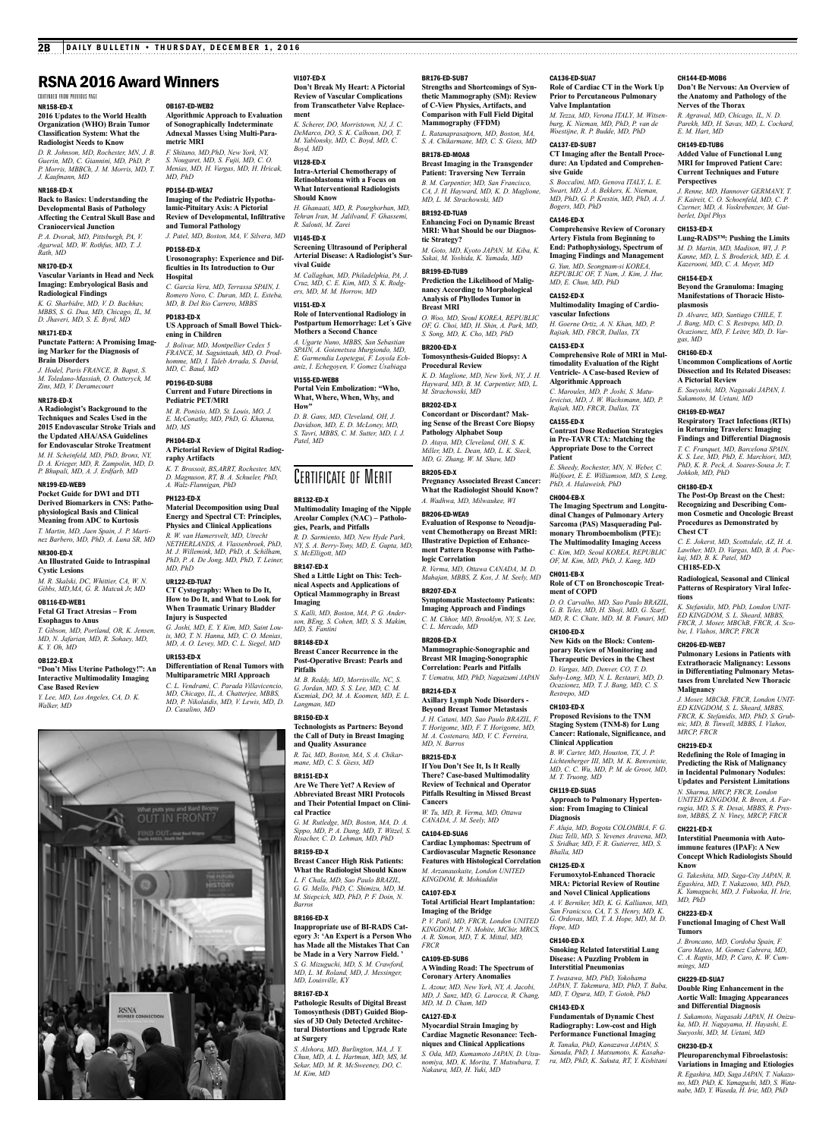OB167-ED-WEB2

**metric MRI**

*MD, PhD* PD154-ED-WEA7

PD158-ED-X

**Hospital**

PD183-ED-X

**ening in Children**

**Algorithmic Approach to Evaluation of Sonographically Indeterminate Adnexal Masses Using Multi-Para-**

*F. Shitano, MD,PhD, New York, NY, S. Nougaret, MD, S. Fujii, MD, C. O. Menias, MD, H. Vargas, MD, H. Hricak,* 

**Imaging of the Pediatric Hypothalamic-Pituitary Axis: A Pictorial Review of Developmental, Infiltrative** 

*J. Patel, MD, Boston, MA, V. Silvera, MD*

**Urosonography: Experience and Difficulties in Its Introduction to Our** 

*C. Garcia Vera, MD, Terrassa SPAIN, I. Romero Novo, C. Duran, MD, L. Esteba, MD, B. Del Rio Carrero, MBBS*

**US Approach of Small Bowel Thick-**

**and Tumoral Pathology**

# RSNA 2016 Award Winners

NR158-ED-X continued from previous page

# **2016 Updates to the World Health Organization (WHO) Brain Tumor Classification System: What the Radiologist Needs to Know**

*D. R. Johnson, MD, Rochester, MN, J. B. Guerin, MD, C. Giannini, MD, PhD, P. P. Morris, MBBCh, J. M. Morris, MD, T. J. Kaufmann, MD*

# NR168-ED-X

**Back to Basics: Understanding the Developmental Basis of Pathology Affecting the Central Skull Base and Craniocervical Junction**

*P. A. Dvorak, MD, Pittsburgh, PA, V. Agarwal, MD, W. Rothfus, MD, T. J. Rath, MD* NR170-ED-X

**Vascular Variants in Head and Neck Imaging: Embryological Basis and Radiological Findings**

*K. G. Sharbidre, MD, V. D. Bachhav, MBBS, S. G. Dua, MD, Chicago, IL, M. D. Jhaveri, MD, S. E. Byrd, MD* NR171-ED-X

# **Punctate Pattern: A Promising Imaging Marker for the Diagnosis of Brain Disorders**

*M. Toledano-Massiah, O. Outteryck, M. Zins, MD, V. Deramecourt*

**A Radiologist's Background to the Techniques and Scales Used in the 2015 Endovascular Stroke Trials and the Updated AHA/ASA Guidelines for Endovascular Stroke Treatment** *M. H. Scheinfeld, MD, PhD, Bronx, NY, D. A. Krieger, MD, R. Zampolin, MD, D. P. Bhupali, MD, A. J. Erdfarb, MD*

# NR199-ED-WEB9 **Pocket Guide for DWI and DTI**

**Derived Biomarkers in CNS: Pathophysiological Basis and Clinical Meaning from ADC to Kurtosis**

*T. Martin, MD, Jaen Spain, J. P. Marti-nez Barbero, MD, PhD, A. Luna SR, MD*

# NR300-ED-X **An Illustrated Guide to Intraspinal**

**Cystic Lesions** *M. R. Skalski, DC, Whittier, CA, W. N. Gibbs, MD,MA, G. R. Matcuk Jr, MD*

# OB116-ED-WEB1

**Fetal GI Tract Atresias – From Esophagus to Anus**

### *T. Gibson, MD, Portland, OR, K. Jensen, MD, N. Jafarian, MD, R. Sohaey, MD, K. Y. Oh, MD*

OB122-ED-X **"Don't Miss Uterine Pathology!": An Interactive Multimodality Imaging** 

# **Case Based Review** *Y. Lee, MD, Los Angeles, CA, D. K.*

*Walker, MD*

*J. Hodel, Paris FRANCE, B. Bapst, S.*  NR178-ED-X *J. Bolivar, MD, Montpellier Cedex 5 FRANCE, M. Saguintaah, MD, O. Prod-homme, MD, I. Taleb Arrada, S. David, MD, C. Baud, MD* PD196-ED-SUB8 **Current and Future Directions in Pediatric PET/MRI**

# *M. R. Ponisio, MD, St. Louis, MO, J. E. McConathy, MD, PhD, G. Khanna, MD, MS*

PH104-ED-X **A Pictorial Review of Digital Radiog-**

# **raphy Artifacts** *K. T. Brossoit, BS,ARRT, Rochester, MN,*

*D. Magnuson, RT, B. A. Schueler, PhD, A. Walz-Flannigan, PhD*

# PH123-ED-X

**Material Decomposition using Dual Energy and Spectral CT: Principles, Physics and Clinical Applications** *R. W. van Hamersvelt, MD, Utrecht* 

*NETHERLANDS, A. Vlassenbroek, PhD, M. J. Willemink, MD, PhD, A. Schilham, PhD, P. A. De Jong, MD, PhD, T. Leiner, MD, PhD*

# UR122-ED-TUA7

**CT Cystography: When to Do It, How to Do It, and What to Look for When Traumatic Urinary Bladder** 

### **Injury is Suspected** *G. Joshi, MD, E. Y. Kim, MD, Saint Louis, MO, T. N. Hanna, MD, C. O. Menias,*

*MD, A. O. Levey, MD, C. L. Siegel, MD* UR153-ED-X

# **Differentiation of Renal Tumors with**

**Multiparametric MRI Approach** *C. L. Vendrami, C. Parada Villavicencio, MD, Chicago, IL, A. Chatterjee, MBBS, MD, P. Nikolaidis, MD, V. Lewis, MD, D. D. Casalino, MD*



VI107-ED-X

**Don't Break My Heart: A Pictorial Review of Vascular Complications from Transcatheter Valve Replacement**

*K. Scherer, DO, Morristown, NJ, J. C. DeMarco, DO, S. K. Calhoun, DO, T. M. Yablonsky, MD, C. Boyd, MD, C. Boyd, MD*

# VI128-ED-X

**Intra-Arterial Chemotherapy of Retinoblastoma with a Focus on What Interventional Radiologists Should Know**

*H. Ghanaati, MD, R. Pourghorban, MD, Tehran Iran, M. Jalilvand, F. Ghassemi, R. Salouti, M. Zarei*

# VI145-ED-X

**Screening Ultrasound of Peripheral Arterial Disease: A Radiologist's Survival Guide** *M. Callaghan, MD, Philadelphia, PA, J.* 

# *Cruz, MD, C. E. Kim, MD, S. K. Rodgers, MD, M. M. Horrow, MD* VI151-ED-X **Role of Interventional Radiology in**

**Postpartum Hemorrhage: Let´s Give Mothers a Second Chance** *A. Ugarte Nuno, MBBS, San Sebastian* 

*Spain, A. Goienetxea Murgiondo, MD, E. Garmendia Lopetegui, F. Loyola Echaniz, I. Echegoyen, V. Gomez Usabiaga* VI155-ED-WEB8

# **Portal Vein Embolization: "Who, What, Where, When, Why, and**

**How"** *D. B. Gans, MD, Cleveland, OH, J. Davidson, MD, E. D. McLoney, MD, S. Tavri, MBBS, C. M. Sutter, MD, I. J. Patel, MD*

# CERTIFICATE OF MERIT

# BR132-ED-X

**Multimodality Imaging of the Nipple Areolar Complex (NAC) – Pathologies, Pearls, and Pitfalls** *R. D. Sarmiento, MD, New Hyde Park,* 

*NY, S. A. Berry-Tony, MD, E. Gupta, MD, S. McElligott, MD* BR147-ED-X **Shed a Little Light on This: Tech-**

**nical Aspects and Applications of Optical Mammography in Breast Imaging**

*S. Kalli, MD, Boston, MA, P. G. Anderson, BEng, S. Cohen, MD, S. S. Makim, MD, S. Fantini*

### BR148-ED-X

**Breast Cancer Recurrence in the Post-Operative Breast: Pearls and Pitfalls**

*M. B. Reddy, MD, Morrisville, NC, S. G. Jordan, MD, S. S. Lee, MD, C. M. Kuzmiak, DO, M. A. Koomen, MD, E. L. Langman, MD* BR150-ED-X

**Technologists as Partners: Beyond the Call of Duty in Breast Imaging and Quality Assurance** *R. Tai, MD, Boston, MA, S. A. Chikar-*

# *mane, MD, C. S. Giess, MD* BR151-ED-X

**Are We There Yet? A Review of Abbreviated Breast MRI Protocols and Their Potential Impact on Clinical Practice**

*G. M. Rutledge, MD, Boston, MA, D. A. Sippo, MD, P. A. Dang, MD, T. Witzel, S. Risacher, C. D. Lehman, MD, PhD*

### BR159-ED-X **Breast Cancer High Risk Patients: What the Radiologist Should Know**

*L. F. Chala, MD, Sao Paulo BRAZIL, G. G. Mello, PhD, C. Shimizu, MD, M. M. Stiepcich, MD, PhD, P. F. Doin, N.* 

### BR166-ED-X

*Barros*

**Inappropriate use of BI-RADS Category 3: 'An Expert is a Person Who has Made all the Mistakes That Can be Made in a Very Narrow Field. '** *S. G. Mizuguchi, MD, S. M. Crawford, MD, L. M. Roland, MD, J. Messinger,* 

# *MD, Louisville, KY*

BR167-ED-X

**Pathologic Results of Digital Breast Tomosynthesis (DBT) Guided Biopsies of 3D Only Detected Architectural Distortions and Upgrade Rate at Surgery**

*S. Alshora, MD, Burlington, MA, J. Y. Chun, MD, A. L. Hartman, MD, MS, M. Sekar, MD, M. R. McSweeney, DO, C. M. Kim, MD*

# BR176-ED-SUB7

**Strengths and Shortcomings of Synthetic Mammography (SM): Review of C-View Physics, Artifacts, and Comparison with Full Field Digital Mammography (FFDM)**

CA136-ED-SUA7

CA137-ED-SUB7

*Bogers, MD, PhD* CA146-ED-X

*MD, E. Chun, MD, PhD*

**vascular Infections**

**Algorithmic Approach** *C. Maroules, MD, P. Joshi, S. Matulevicius, MD, J. W. Wachsmann, MD, P. Rajiah, MD, FRCR, Dallas, TX*

*PhD, A. Halaweish, PhD*

CA152-ED-X

CA153-ED-X

CA155-ED-X

**Patient**

CH004-EB-X

CH011-EB-X

CH100-ED-X

*Restrepo, MD* CH103-ED-X

**Clinical Application**

*M. T. Truong, MD* CH119-ED-SUA5

**Diagnosis**

*Bhalla, MD* CH125-ED-X

*Hope, MD* CH140-ED-X

CH143-ED-X

**ment of COPD**

**sive Guide**

**Valve Implantation**

**Role of Cardiac CT in the Work Up Prior to Percutaneous Pulmonary** 

CH144-ED-MOB6

*E. M. Hart, MD* CH149-ED-TUB6

**Perspectives**

*berlet, Dipl Phys* CH153-ED-X

CH154-ED-X

**plasmosis**

*gas, MD* CH160-ED-X

**A Pictorial Review**

*Johkoh, MD, PhD* CH180-ED-X

**Chest CT**

**CH185-ED-X**

CH206-ED-WEB7

**Malignancy**

*MRCP, FRCR* CH219-ED-X

CH221-ED-X

**Know**

*MD, PhD* CH223-ED-X

**Tumors**

*mings, MD* CH229-ED-SUA7

CH230-ED-X

**tions**

**Nerves of the Thorax** *R. Agrawal, MD, Chicago, IL, N. D. Parekh, MD, H. Savas, MD, L. Cochard,* 

**Don't Be Nervous: An Overview of the Anatomy and Pathology of the** 

**Added Value of Functional Lung MRI for Improved Patient Care: Current Techniques and Future** 

*J. Renne, MD, Hannover GERMANY, T. F. Kaireit, C. O. Schoenfeld, MD, C. P. Czerner, MD, A. Voskrebenzev, M. Gut-*

**Lung-RADS™: Pushing the Limits** *M. D. Martin, MD, Madison, WI, J. P. Kanne, MD, L. S. Broderick, MD, E. A. Kazerooni, MD, C. A. Meyer, MD*

**Beyond the Granuloma: Imaging Manifestations of Thoracic Histo-**

*D. Alvarez, MD, Santiago CHILE, T. J. Bang, MD, C. S. Restrepo, MD, D. Ocazionez, MD, F. Leiter, MD, D. Var-*

**Uncommon Complications of Aortic Dissection and Its Related Diseases:** 

*E. Sueyoshi, MD, Nagasaki JAPAN, I. Sakamoto, M. Uetani, MD* CH169-ED-WEA7

**Respiratory Tract Infections (RTIs) in Returning Travelers: Imaging Findings and Differential Diagnosis** *T. C. Franquet, MD, Barcelona SPAIN, K. S. Lee, MD, PhD, E. Marchiori, MD, PhD, K. R. Peck, A. Soares-Sousa Jr, T.* 

**The Post-Op Breast on the Chest: Recognizing and Describing Common Cosmetic and Oncologic Breast Procedures as Demonstrated by** 

*C. E. Jokerst, MD, Scottsdale, AZ, H. A. Lawther, MD, D. Vargas, MD, B. A. Poc-kaj, MD, B. K. Patel, MD*

**Radiological, Seasonal and Clinical Patterns of Respiratory Viral Infec-**

*K. Stefanidis, MD, PhD, London UNIT-ED KINGDOM, S. L. Sheard, MBBS, FRCR, J. Moser, MBChB, FRCR, A. Sco-*

**Pulmonary Lesions in Patients with Extrathoracic Malignancy: Lessons in Differentiating Pulmonary Metastases from Unrelated New Thoracic** 

*J. Moser, MBChB, FRCR, London UNIT-ED KINGDOM, S. L. Sheard, MBBS, FRCR, K. Stefanidis, MD, PhD, S. Grubnic, MD, B. Tinwell, MBBS, I. Vlahos,* 

**Redefining the Role of Imaging in Predicting the Risk of Malignancy in Incidental Pulmonary Nodules: Updates and Persistent Limitations** *N. Sharma, MRCP, FRCR, London UNITED KINGDOM, R. Breen, A. Farrugia, MD, S. R. Desai, MBBS, R. Preston, MBBS, Z. N. Viney, MRCP, FRCR*

**Interstitial Pneumonia with Autoimmune features (IPAF): A New Concept Which Radiologists Should** 

*G. Takeshita, MD, Saga-City JAPAN, R. Egashira, MD, T. Nakazono, MD, PhD, K. Yamaguchi, MD, J. Fukuoka, H. Irie,* 

**Functional Imaging of Chest Wall** 

*J. Broncano, MD, Cordoba Spain, F. Caro Mateo, M. Gomez Cabrera, MD, C. A. Raptis, MD, P. Caro, K. W. Cum-*

**Double Ring Enhancement in the Aortic Wall: Imaging Appearances and Differential Diagnosis** *I. Sakamoto, Nagasaki JAPAN, H. Onizuka, MD, H. Nagayama, H. Hayashi, E. Sueyoshi, MD, M. Uetani, MD*

**Pleuroparenchymal Fibroelastosis: Variations in Imaging and Etiologies** *R. Egashira, MD, Saga JAPAN, T. Nakazono, MD, PhD, K. Yamaguchi, MD, S. Wata-nabe, MD, Y. Waseda, H. Irie, MD, PhD*

*bie, I. Vlahos, MRCP, FRCR*

*M. Tezza, MD, Verona ITALY, M. Witsenburg, K. Nieman, MD, PhD, P. van de Woestijne, R. P. Budde, MD, PhD*

**CT Imaging after the Bentall Procedure: An Updated and Comprehen-**

*S. Boccalini, MD, Genova ITALY, L. E. Swart, MD, J. A. Bekkers, K. Nieman, MD, PhD, G. P. Krestin, MD, PhD, A. J.* 

**Comprehensive Review of Coronary Artery Fistula from Beginning to End: Pathophysiology, Spectrum of Imaging Findings and Management** *G. Yun, MD, Seongnam-si KOREA, REPUBLIC OF, T. Nam, J. Kim, J. Hur,* 

**Multimodality Imaging of Cardio-**

*H. Goerne Ortiz, A. N. Khan, MD, P. Rajiah, MD, FRCR, Dallas, TX*

**Comprehensive Role of MRI in Multimodality Evaluation of the Right Ventricle- A Case-based Review of** 

**Contrast Dose Reduction Strategies in Pre-TAVR CTA: Matching the Appropriate Dose to the Correct** 

*E. Sheedy, Rochester, MN, N. Weber, C. Walfoort, E. E. Williamson, MD, S. Leng,* 

**The Imaging Spectrum and Longitudinal Changes of Pulmonary Artery Sarcoma (PAS) Masquerading Pulmonary Thromboembolism (PTE): The Multimodality Imaging Access** *C. Kim, MD, Seoul KOREA, REPUBLIC OF, M. Kim, MD, PhD, J. Kang, MD*

**Role of CT on Bronchoscopic Treat-**

*D. O. Carvalho, MD, Sao Paulo BRAZIL, G. B. Teles, MD, H. Shoji, MD, G. Szarf, MD, R. C. Chate, MD, M. B. Funari, MD*

**New Kids on the Block: Contemporary Review of Monitoring and Therapeutic Devices in the Chest** *D. Vargas, MD, Denver, CO, T. D. Suby-Long, MD, N. L. Restauri, MD, D. Ocazionez, MD, T. J. Bang, MD, C. S.* 

**Proposed Revisions to the TNM Staging System (TNM-8) for Lung Cancer: Rationale, Significance, and** 

*B. W. Carter, MD, Houston, TX, J. P. Lichtenberger III, MD, M. K. Benveniste, MD, C. C. Wu, MD, P. M. de Groot, MD,* 

**Approach to Pulmonary Hypertension: From Imaging to Clinical** 

*F. Aluja, MD, Bogota COLOMBIA, F. G. Diaz Telli, MD, S. Yevenes Aravena, MD, S. Sridhar, MD, F. R. Gutierrez, MD, S.* 

**Ferumoxytol-Enhanced Thoracic MRA: Pictorial Review of Routine and Novel Clinical Applications** *A. V. Berniker, MD, K. G. Kallianos, MD, San Franicsco, CA, T. S. Henry, MD, K. G. Ordovas, MD, T. A. Hope, MD, M. D.* 

**Smoking Related Interstitial Lung Disease: A Puzzling Problem in Interstitial Pneumonias** *T. Iwasawa, MD, PhD, Yokohama JAPAN, T. Takemura, MD, PhD, T. Baba, MD, T. Ogura, MD, T. Gotoh, PhD*

**Fundamentals of Dynamic Chest Radiography: Low-cost and High Performance Functional Imaging** *R. Tanaka, PhD, Kanazawa JAPAN, S. Sanada, PhD, I. Matsumoto, K. Kasahara, MD, PhD, K. Sakuta, RT, Y. Kishitani*

# *L. Ratanaprasatporn, MD, Boston, MA, S. A. Chikarmane, MD, C. S. Giess, MD*

BR178-ED-MOA8 **Breast Imaging in the Transgender** 

# **Patient: Traversing New Terrain** *B. M. Carpentier, MD, San Francisco, CA, J. H. Hayward, MD, K. D. Maglione, MD, L. M. Strachowski, MD*

BR192-ED-TUA9 **Enhancing Foci on Dynamic Breast MRI: What Should be our Diagnostic Strategy?**

# *M. Goto, MD, Kyoto JAPAN, M. Kiba, K. Sakai, M. Yoshida, K. Yamada, MD*

BR199-ED-TUB9 **Prediction the Likelihood of Malignancy According to Morphological Analysis of Phyllodes Tumor in Breast MRI** *O. Woo, MD, Seoul KOREA, REPUBLIC* 

# *OF, G. Choi, MD, H. Shin, A. Park, MD, S. Song, MD, K. Cho, MD, PhD* BR200-ED-X

# **Tomosynthesis-Guided Biopsy: A Procedural Review**

*K. D. Maglione, MD, New York, NY, J. H. Hayward, MD, B. M. Carpentier, MD, L. M. Strachowski, MD* BR202-ED-X **Concordant or Discordant? Making Sense of the Breast Core Biopsy** 

# **Pathology Alphabet Soup** *D. Ataya, MD, Cleveland, OH, S. K. Miller, MD, L. Dean, MD, L. K. Sieck, MD, G. Zhang, W. M. Shaw, MD* BR205-ED-X

**Pregnancy Associated Breast Cancer: What the Radiologist Should Know?** *A. Wadhwa, MD, Milwaukee, WI*

# BR206-ED-WEA9 **Evaluation of Response to Neoadjuvent Chemotherapy on Breast MRI: Illustrative Depiction of Enhancement Pattern Response with Pathologic Correlation**

*R. Verma, MD, Ottawa CANADA, M. D. Mahajan, MBBS, Z. Kos, J. M. Seely, MD*

# BR207-ED-X **Symptomatic Mastectomy Patients: Imaging Approach and Findings** *C. M. Chhor, MD, Brooklyn, NY, S. Lee,*

*C. L. Mercado, MD* BR208-ED-X **Mammographic-Sonographic and** 

# **Breast MR Imaging-Sonographic**

**Correlation: Pearls and Pitfalls** *T. Uematsu, MD, PhD, Nagaizumi JAPAN* BR214-ED-X **Axillary Lymph Node Disorders - Beyond Breast Tumor Metastasis** *J. H. Catani, MD, Sao Paulo BRAZIL, F.* 

*T. Horigome, MD, F. T. Horigome, MD, M. A. Costenaro, MD, V. C. Ferreira, MD, N. Barros* BR215-ED-X

# **If You Don't See It, Is It Really There? Case-based Multimodality Review of Technical and Operator**

# **Pitfalls Resulting in Missed Breast Cancers** *W. Tu, MD, R. Verma, MD, Ottawa*

**Cardiovascular Magnetic Resonance Features with Histological Correlation** *M. Arzanauskaite, London UNITED KINGDOM, R. Mohiaddin*

**Total Artificial Heart Implantation:** 

*P. V. Patil, MD, FRCR, London UNITED KINGDOM, P. N. Mohite, MChir, MRCS, A. R. Simon, MD, T. K. Mittal, MD,* 

**A Winding Road: The Spectrum of Coronary Artery Anomalies** *L. Azour, MD, New York, NY, A. Jacobi, MD, J. Sanz, MD, G. Larocca, R. Chang,* 

**Myocardial Strain Imaging by Cardiac Magnetic Resonance: Techniques and Clinical Applications** *S. Oda, MD, Kumamoto JAPAN, D. Utsunomiya, MD, K. Morita, T. Matsubara, T. Nakaura, MD, H. Yuki, MD*

*CANADA, J. M. Seely, MD*

### CA104-ED-SUA6 **Cardiac Lymphomas: Spectrum of**

**Imaging of the Bridge**

*MD, M. D. Cham, MD* CA127-ED-X

CA107-ED-X

*FRCR* CA109-ED-SUB6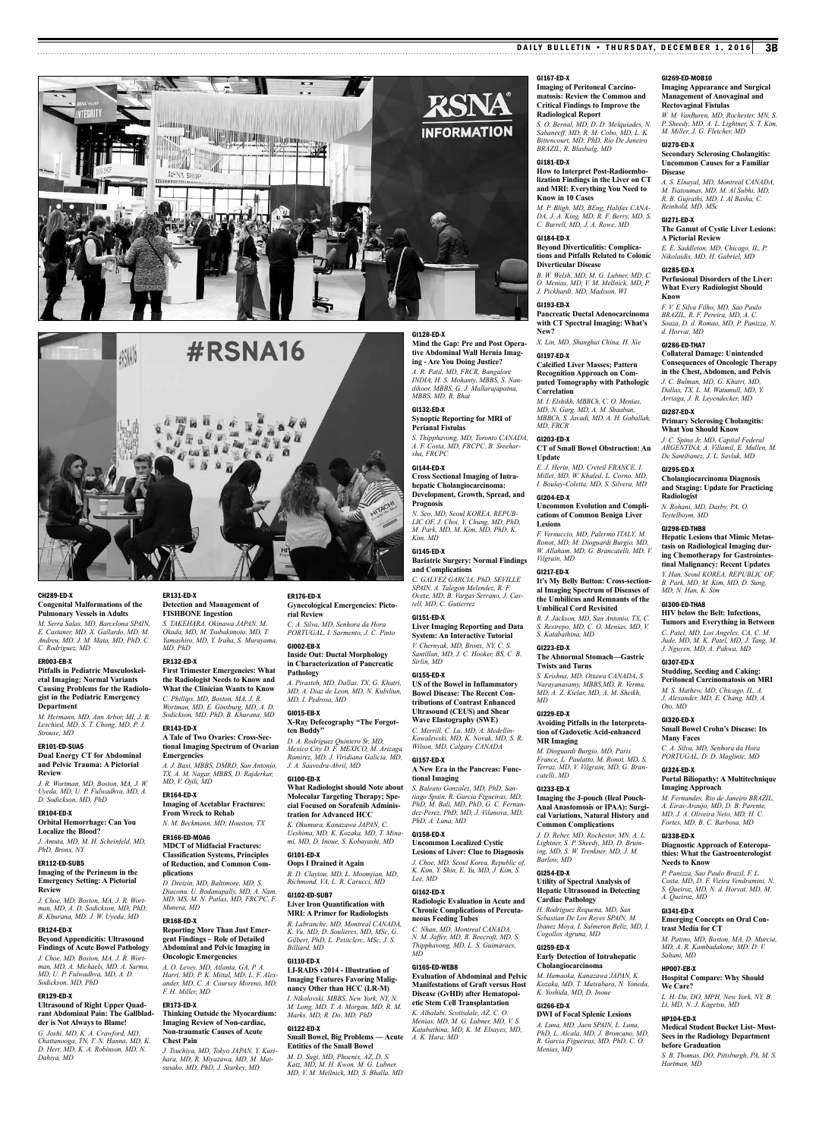



# CH289-ED-X

**Congenital Malformations of the Pulmonary Vessels in Adults** *M. Serra Salas, MD, Barcelona SPAIN,* 

*E. Castaner, MD, X. Gallardo, MD, M. Andreu, MD, J. M. Mata, MD, PhD, C. C. Rodriguez, MD*

# ER003-EB-X

**Pitfalls in Pediatric Musculoskeletal Imaging: Normal Variants Causing Problems for the Radiologist in the Pediatric Emergency Department**

*M. Hermann, MD, Ann Arbor, MI, J. R. Leschied, MD, S. T. Chong, MD, P. J. Strouse, MD*

### ER101-ED-SUA5 **Dual Energy CT for Abdominal and Pelvic Trauma: A Pictorial Review**

*J. R. Wortman, MD, Boston, MA, J. W. Uyeda, MD, U. P. Fulwadhva, MD, A. D. Sodickson, MD, PhD*

# ER104-ED-X **Orbital Hemorrhage: Can You**

**Localize the Blood?** *J. Amuta, MD, M. H. Scheinfeld, MD,* 

# *PhD, Bronx, NY* ER112-ED-SUB5

**Imaging of the Perineum in the Emergency Setting: A Pictorial Review** *J. Choe, MD, Boston, MA, J. R. Wort-*

*man, MD, A. D. Sodickson, MD, PhD, B. Khurana, MD, J. W. Uyeda, MD* ER124-ED-X

### **Beyond Appendicitis: Ultrasound Findings of Acute Bowel Pathology** *J. Choe, MD, Boston, MA, J. R. Wortman, MD, A. Michaels, MD, A. Sarma, MD, U. P. Fulwadhva, MD, A. D. Sodickson, MD, PhD*

ER129-ED-X **Ultrasound of Right Upper Quadrant Abdominal Pain: The Gallbladder is Not Always to Blame!**

*G. Joshi, MD, K. A. Crawford, MD, Chattanooga, TN, T. N. Hanna, MD, K. D. Herr, MD, K. A. Robinson, MD, N. Dahiya, MD*

# ER131-ED-X **Detection and Management of**

**FISHBONE Ingestion** *S. TAKEHARA, Okinawa JAPAN, M. Okada, MD, M. Tsubakimoto, MD, T. Yamashiro, MD, Y. Iraha, S. Murayama, MD, PhD*

# ER132-ED-X

**First Trimester Emergencies: What the Radiologist Needs to Know and What the Clinician Wants to Know** *C. Phillips, MD, Boston, MA, J. R. Wortman, MD, E. Ginsburg, MD, A. D. Sodickson, MD, PhD, B. Khurana, MD*

ER143-ED-X **A Tale of Two Ovaries: Cross-Sectional Imaging Spectrum of Ovarian** 

# **Emergencies** *A. J. Baxi, MBBS, DMRD, San Antonio,*

*TX, A. M. Nagar, MBBS, D. Rajderkar, MD, V. Ojili, MD*

### ER164-ED-X **Imaging of Acetablar Fractures:**

**From Wreck to Rehab** *N. M. Beckmann, MD, Houston, TX*

# ER166-ED-MOA6

**MDCT of Midfacial Fractures: Classification Systems, Principles of Reduction, and Common Complications**

*D. Dreizin, MD, Baltimore, MD, S. Diaconu, U. Bodanapally, MD, A. Nam, MD, MS, M. N. Patlas, MD, FRCPC, F. Munera, MD*

# ER168-ED-X

**Reporting More Than Just Emergent Findings – Role of Detailed Abdominal and Pelvic Imaging in Oncologic Emergencies**

*A. O. Levey, MD, Atlanta, GA, P. A. Harri, MD, P. K. Mittal, MD, L. F. Alexander, MD, C. A. Coursey Moreno, MD, F. H. Miller, MD*

### ER173-ED-X **Thinking Outside the Myocardium: Imaging Review of Non-cardiac, Non-traumatic Causes of Acute Chest Pain**

*J. Tsuchiya, MD, Tokyo JAPAN, Y. Kurihara, MD, R. Miyazawa, MD, M. Matsusako, MD, PhD, J. Starkey, MD*

# ER176-ED-X **Gynecological Emergencies: Picto-**

**rial Review** *C. A. Silva, MD, Senhora da Hora PORTUGAL, I. Sarmento, J. C. Pinto*

# GI002-EB-X **Inside Out: Ductal Morphology in Characterization of Pancreatic Pathology**

*A. Pirasteh, MD, Dallas, TX, G. Khatri, MD, A. Diaz de Leon, MD, N. Kubiliun, MD, I. Pedrosa, MD*

### GI015-EB-X **X-Ray Defecography "The Forgotten Buddy"**

*D. A. Rodriguez Quintero Sr, MD, Mexico City D. F. MEXICO, M. Arizaga Ramirez, MD, J. Viridiana Galicia, MD, J. A. Saavedra-Abril, MD*

# GI100-ED-X

**What Radiologist should Note about Molecular Targeting Therapy; Special Focused on Sorafenib Administration for Advanced HCC** *K. Okumura, Kanazawa JAPAN, C.* 

*Ueshima, MD, K. Kozaka, MD, T. Minami, MD, D. Inoue, S. Kobayashi, MD* GI101-ED-X

# **Oops I Drained it Again**

*R. D. Clayton, MD, L. Moomjian, MD, Richmond, VA, L. R. Carucci, MD* GI102-ED-SUB7

# **Liver Iron Quantification with MRI: A Primer for Radiologists**

*R. Labranche, MD, Montreal CANADA, K. Vu, MD, D. Soulieres, MD, MSc, G. Gilbert, PhD, L. Petitclerc, MSc, J. S. Billiard, MD*

# GI110-ED-X

**LI-RADS v2014 - Illustration of Imaging Features Favoring Malignancy Other than HCC (LR-M)** *I. Nikolovski, MBBS, New York, NY, N. M. Long, MD, T. A. Morgan, MD, R. M. Marks, MD, R. Do, MD, PhD* GI122-ED-X

# **Small Bowel, Big Problems — Acute Entities of the Small Bowel** *M. D. Sugi, MD, Phoenix, AZ, D. S.*

*Katz, MD, M. H. Kwon, M. G. Lubner, MD, V. M. Mellnick, MD, S. Bhalla, MD*

# DAILY BULLETIN • THURSDAY, DECEMBER 1, 2016 3B

# GI167-ED-X

**Imaging of Peritoneal Carcinomatosis: Review the Common and Critical Findings to Improve the Radiological Report** *S. O. Bernal, MD, D. D. Melquiades, N. Sabaneeff, MD, R. M. Cobo, MD, L. K. Bittencourt, MD, PhD, Rio De Janeiro BRAZIL, R. Blasbalg, MD*

# GI181-ED-X

**How to Interpret Post-Radioembolization Findings in the Liver on CT and MRI: Everything You Need to Know in 10 Cases**

*M. P. Bligh, MD, BEng, Halifax CANA-DA, J. A. King, MD, R. F. Berry, MD, S. C. Burrell, MD, J. A. Rowe, MD*

# GI184-ED-X

**Beyond Diverticulitis: Complications and Pitfalls Related to Colonic Diverticular Disease**

### *B. W. Welsh, MD, M. G. Lubner, MD, C. O. Menias, MD, V. M. Mellnick, MD, P. J. Pickhardt, MD, Madison, WI*

GI193-ED-X **Pancreatic Ductal Adenocarcinoma** 

**with CT Spectral Imaging: What's New?**

*X. Lin, MD, Shanghai China, H. Xie* GI197-ED-X

# **Calcified Liver Masses; Pattern Recognition Approach on Computed Tomography with Pathologic**

**Correlation** *M. I. Elshikh, MBBCh, C. O. Menias, MD, N. Garg, MD, A. M. Shaaban, MBBCh, S. Javadi, MD, A. H. Gaballah, MD, FRCR*

# GI203-ED-X

*Vilgrain, MD* GI217-ED-X

*S. Katabathina, MD* GI223-ED-X

**Twists and Turns**

**MR Imaging** 

*catelli, MD* GI233-ED-X

*Barlow, MD* GI254-ED-X

*MD* GI229-ED-X

**CT of Small Bowel Obstruction: An Update** *E. J. Herin, MD, Creteil FRANCE, I.* 

*Millet, MD, W. Khaled, L. Corno, MD, I. Boulay-Coletta, MD, S. Silvera, MD* GI204-ED-X **Uncommon Evolution and Complications of Common Benign Liver** 

**Lesions** *F. Vernuccio, MD, Palermo ITALY, M. Ronot, MD, M. Dioguardi Burgio, MD, W. Allaham, MD, G. Brancatelli, MD, V.* 

**It's My Belly Button: Cross-sectional Imaging Spectrum of Diseases of the Umbilicus and Remnants of the Umbilical Cord Revisited**

*R. J. Jackson, MD, San Antonio, TX, C. S. Restrepo, MD, C. O. Menias, MD, V.* 

**The Abnormal Stomach—Gastric** 

*S. Krishna, MD, Ottawa CANADA, S. Narayanasamy, MBBS,MD, R. Verma, MD, A. Z. Kielar, MD, A. M. Sheikh,* 

**Avoiding Pitfalls in the Interpretation of Gadoxetic Acid-enhanced** 

*M. Dioguardi Burgio, MD, Paris France, L. Paulatto, M. Ronot, MD, S. Terraz, MD, V. Vilgrain, MD, G. Bran-*

**Imaging the J-pouch (Ileal Pouch-Anal Anastomosis or IPAA): Surgical Variations, Natural History and Common Complications** *J. D. Reber, MD, Rochester, MN, A. L. Lightner, S. P. Sheedy, MD, D. Bruin-ing, MD, S. W. Trenkner, MD, J. M.* 

**Utility of Spectral Analysis of Hepatic Ultrasound in Detecting** 

**Early Detection of Intrahepatic Cholangiocarcinoma** *M. Hamaoka, Kanazawa JAPAN, K. Kozaka, MD, T. Matsubara, N. Yoneda,* 

**DWI of Focal Splenic Lesions** *A. Luna, MD, Jaen SPAIN, L. Luna, PhD, L. Alcala, MD, J. Broncano, MD, R. Garcia Figueiras, MD, PhD, C. O.* 

**Cardiac Pathology** *H. Rodriguez Requena, MD, San Sebastian De Los Reyes SPAIN, M. Ibanez Moya, I. Salmeron Beliz, MD, I.* 

*Cogollos Agruna, MD* GI259-ED-X

*K. Yoshida, MD, D. Inoue*

GI266-ED-X

*Menias, MD*

# **Bariatric Surgery: Normal Findings**

**and Complications** *C. GALVEZ GARCIA, PhD, SEVILLE SPAIN, A. Talegon Melendez, R. F. Ocete, MD, B. Vargas Serrano, J. Castell, MD, C. Gutierrez*

# GI151-ED-X **Liver Imaging Reporting and Data System: An Interactive Tutorial**

*V. Chernyak, MD, Bronx, NY, C. S. Santillan, MD, J. C. Hooker, BS, C. B. Sirlin, MD*

# GI155-ED-X

GI128-ED-X

*MBBS, MD, R. Bhat* GI132-ED-X

**Perianal Fistulas**

*sha, FRCPC* GI144-ED-X

**Prognosis**

*Kim, MD* GI145-ED-X

**Mind the Gap: Pre and Post Operative Abdominal Wall Hernia Imaging - Are You Doing Justice?** *A. R. Patil, MD, FRCR, Bangalore INDIA, H. S. Mohanty, MBBS, S. Nandikoor, MBBS, G. J. Mallarajapatna,* 

**Synoptic Reporting for MRI of** 

*S. Thipphavong, MD, Toronto CANADA, A. F. Costa, MD, FRCPC, B. Sreehar-*

**Cross Sectional Imaging of Intrahepatic Cholangiocarcinoma: Development, Growth, Spread, and** 

*N. Seo, MD, Seoul KOREA, REPUB-LIC OF, J. Choi, Y. Chung, MD, PhD, M. Park, MD, M. Kim, MD, PhD, K.* 

**US of the Bowel in Inflammatory Bowel Disease: The Recent Contributions of Contrast Enhanced Ultrasound (CEUS) and Shear Wave Elastography (SWE)** *C. Merrill, C. Lu, MD, A. Medellin-Kowalewski, MD, K. Novak, MD, S. R.* 

# *Wilson, MD, Calgary CANADA* GI157-ED-X **A New Era in the Pancreas: Func-**

**tional Imaging** *S. Baleato Gonzalez, MD, PhD, San-*

*tiago Spain, R. Garcia Figueiras, MD, PhD, M. Bali, MD, PhD, G. C. Fernandez-Perez, PhD, MD, J. Vilanova, MD, PhD, A. Luna, MD*

### GI158-ED-X **Uncommon Localized Cystic**

**Lesions of Liver: Clue to Diagnosis** *J. Choe, MD, Seoul Korea, Republic of, K. Kim, Y. Shin, E. Yu, MD, J. Kim, S.* 

# *Lee, MD* GI162-ED-X

**Radiologic Evaluation in Acute and Chronic Complications of Percutaneous Feeding Tubes**

### *C. Nhan, MD, Montreal CANADA, N. M. Jaffer, MD, R. Beecroft, MD, S.*

*Thipphavong, MD, L. S. Guimaraes, MD* GI165-ED-WEB8 **Evaluation of Abdominal and Pelvic Manifestations of Graft versus Host Disease (GvHD) after Hematopoietic Stem Cell Transplantation** *K. Alhalabi, Scottsdale, AZ, C. O. Menias, MD, M. G. Lubner, MD, V. S. Katabathina, MD, K. M. Elsayes, MD, A. K. Hara, MD*

# GI269-ED-MOB10

### **Imaging Appearance and Surgical Management of Anovaginal and Rectovaginal Fistulas**

*W. M. VanBuren, MD, Rochester, MN, S. P. Sheedy, MD, A. L. Lightner, S. T. Kim, M. Miller, J. G. Fletcher, MD*

# GI270-ED-X

### **Secondary Sclerosing Cholangitis: Uncommon Causes for a Familiar Disease**

*A. S. Elnayal, MD, Montreal CANADA, M. Tsatoumas, MD, M. Al Subhi, MD, R. B. Gujrathi, MD, I. Al Basha, C. Reinhold, MD, MSc*

### GI271-ED-X

**The Gamut of Cystic Liver Lesions: A Pictorial Review**

*E. E. Saddleton, MD, Chicago, IL, P. Nikolaidis, MD, H. Gabriel, MD*

# GI285-ED-X

# **Perfusional Disorders of the Liver: What Every Radiologist Should Know**

*F. V. E Silva Filho, MD, Sao Paulo BRAZIL, R. F. Pereira, MD, A. C. Souza, D. d. Romao, MD, P. Panizza, N. d. Horvat, MD*

### GI286-ED-THA7

GI295-ED-X

**Radiologist**

**Collateral Damage: Unintended Consequences of Oncologic Therapy in the Chest, Abdomen, and Pelvis** *J. C. Bulman, MD, G. Khatri, MD, Dallas, TX, L. M. Watumull, MD, Y. Arriaga, J. R. Leyendecker, MD*

# GI287-ED-X **Primary Sclerosing Cholangitis:**

**What You Should Know** *J. C. Spina Jr, MD, Capital Federal ARGENTINA, A. Villamil, E. Mullen, M. De Santibanez, J. L. Savluk, MD*

**Cholangiocarcinoma Diagnosis and Staging: Update for Practicing** 

**Hepatic Lesions that Mimic Metastasis on Radiological Imaging during Chemotherapy for Gastrointestinal Malignancy: Recent Updates** *Y. Han, Seoul KOREA, REPUBLIC OF, B. Park, MD, M. Kim, MD, D. Sung,* 

**HIV below the Belt: Infections, Tumors and Everything in Between** *C. Patel, MD, Los Angeles, CA, C. M. Jude, MD, M. K. Patel, MD, J. Tang, M. J. Nguyen, MD, A. Pahwa, MD*

**Studding, Seeding and Caking: Peritoneal Carcinomatosis on MRI** *M. S. Mathew, MD, Chicago, IL, A. J. Alexander, MD, E. Chang, MD, A.* 

**Small Bowel Crohn's Disease: Its** 

*C. A. Silva, MD, Senhora da Hora PORTUGAL, D. D. Maglinte, MD*

**Portal Biliopathy: A Multitechnique** 

*M. Fernandes, Rio de Janeiro BRAZIL, A. Eiras-Araujo, MD, D. B. Parente, MD, J. A. Oliveira Neto, MD, H. C. Fortes, MD, B. C. Barbosa, MD*

**Diagnostic Approach of Enteropathies: What the Gastroenterologist** 

*P. Panizza, Sao Paulo Brazil, F. L. Costa, MD, D. F. Vieira Vendramini, N. S. Queiroz, MD, N. d. Horvat, MD, M.* 

**Emerging Concepts on Oral Con-**

**Hospital Compare: Why Should** 

*L. H. Du, DO, MPH, New York, NY, B. Li, MD, N. J. Kagetsu, MD*

**Medical Student Bucket List- Must-Sees in the Radiology Department** 

*S. B. Thomas, DO, Pittsburgh, PA, M. S.* 

*M. Patino, MD, Boston, MA, D. Murcia, MD, A. R. Kambadakone, MD* 

*N. Rohani, MD, Darby, PA, O. Teytelboym, MD* GI298-ED-THB8

*MD, N. Han, K. Sim* GI300-ED-THA8

GI307-ED-X

*Oto, MD* GI320-ED-X

**Many Faces**

GI324-ED-X

GI338-ED-X

**Needs to Know**

*A. Queiroz, MD* GI341-ED-X

*Sahani, MD* HP007-EB-X

**We Care?**

HP104-ED-X

*Hartman, MD*

**before Graduation**

**trast Media for CT**

**Imaging Approach**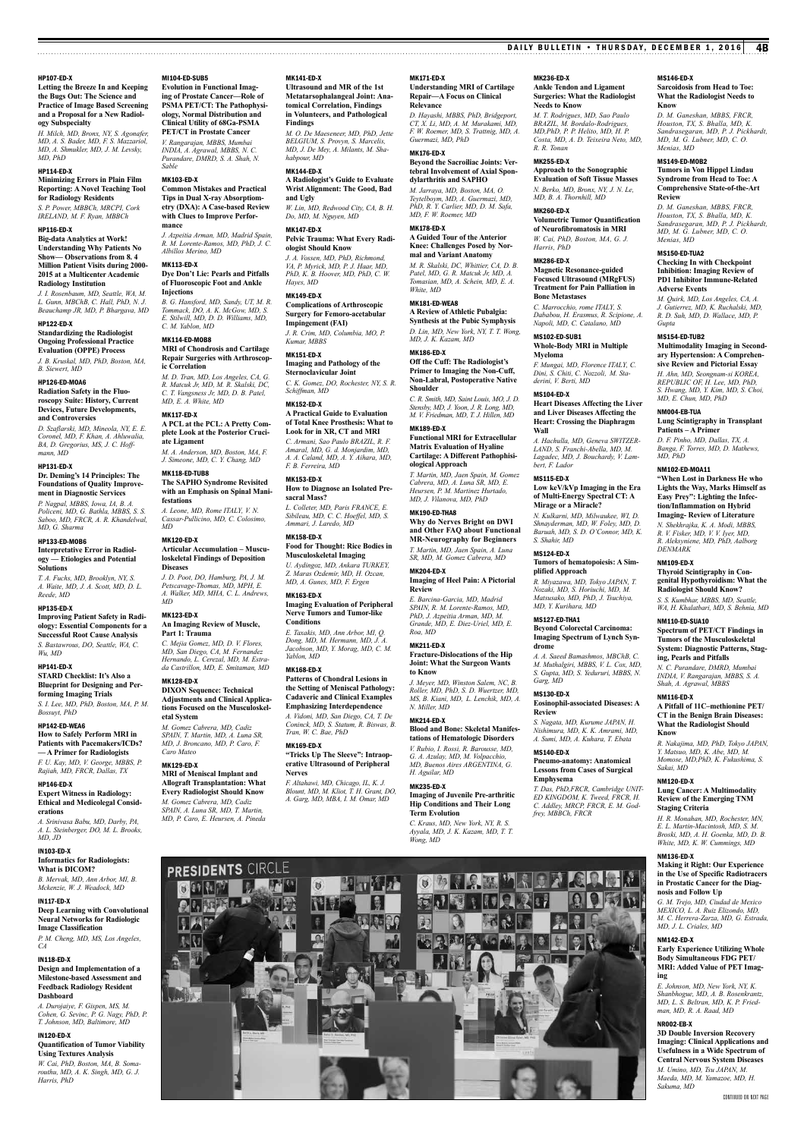# HP107-ED-X

# **Letting the Breeze In and Keeping the Bugs Out: The Science and Practice of Image Based Screening and a Proposal for a New Radiology Subspecialty**

*H. Milch, MD, Bronx, NY, S. Agonafer, MD, A. S. Bader, MD, F. S. Mazzariol, MD, A. Shmukler, MD, J. M. Levsky, MD, PhD*

# HP114-ED-X

**Minimizing Errors in Plain Film Reporting: A Novel Teaching Tool for Radiology Residents** *S. P. Power, MBBCh, MRCPI, Cork IRELAND, M. F. Ryan, MBBCh*

# HP116-ED-X

**Big-data Analytics at Work! Understanding Why Patients No Show— Observations from 8. 4 Million Patient Visits during 2000- 2015 at a Multicenter Academic Radiology Institution**

*J. I. Rosenbaum, MD, Seattle, WA, M. L. Gunn, MBChB, C. Hall, PhD, N. J. Beauchamp JR, MD, P. Bhargava, MD*

# HP122-ED-X

**Standardizing the Radiologist Ongoing Professional Practice Evaluation (OPPE) Process** *J. B. Kruskal, MD, PhD, Boston, MA,* 

# *B. Siewert, MD*

HP126-ED-MOA6 **Radiation Safety in the Fluoroscopy Suite: History, Current Devices, Future Developments, and Controversies**

*D. Szaflarski, MD, Mineola, NY, E. E. Coronel, MD, F. Khan, A. Ahluwalia, BA, D. Gregorius, MS, J. C. Hoffmann, MD*

# HP131-ED-X

**Dr. Deming's 14 Principles: The Foundations of Quality Improvement in Diagnostic Services**

*P. Nagpal, MBBS, Iowa, IA, B. A. Policeni, MD, G. Bathla, MBBS, S. S. Saboo, MD, FRCR, A. R. Khandelwal, MD, G. Sharma*

# HP133-ED-MOB6 **Interpretative Error in Radiol-**

**ogy — Etiologies and Potential Solutions** *T. A. Fuchs, MD, Brooklyn, NY, S.* 

*A. Waite, MD, J. A. Scott, MD, D. L. Reede, MD* HP135-ED-X

## **Improving Patient Safety in Radiology: Essential Components for a Successful Root Cause Analysis** *S. Bastawrous, DO, Seattle, WA, C. Wu, MD*

HP141-ED-X **STARD Checklist: It's Also a Blueprint for Designing and Performing Imaging Trials**

*S. I. Lee, MD, PhD, Boston, MA, P. M. Bossuyt, PhD*

### HP142-ED-WEA6 **How to Safely Perform MRI in**

**Patients with Pacemakers/ICDs? — A Primer for Radiologists** *F. U. Kay, MD, V. George, MBBS, P.* 

*Rajiah, MD, FRCR, Dallas, TX* HP146-ED-X **Expert Witness in Radiology:** 

# **Ethical and Medicolegal Considerations**

*A. Srinivasa Babu, MD, Darby, PA, A. L. Steinberger, DO, M. L. Brooks, MD, JD*

# IN103-ED-X **Informatics for Radiologists:**

**What is DICOM?** *B. Mervak, MD, Ann Arbor, MI, B. Mckenzie, W. J. Weadock, MD*

# IN117-ED-X **Deep Learning with Convolutional Neural Networks for Radiologic Image Classification**

*P. M. Cheng, MD, MS, Los Angeles, CA*

# IN118-ED-X

**Design and Implementation of a Milestone-based Assessment and Feedback Radiology Resident Dashboard**

*A. Durojaiye, F. Gispen, MS, M. Cohen, G. Sevinc, P. G. Nagy, PhD, P. T. Johnson, MD, Baltimore, MD*

### IN120-ED-X **Quantification of Tumor Viability**

**Using Textures Analysis** *W. Cai, PhD, Boston, MA, B. Soma-routhu, MD, A. K. Singh, MD, G. J. Harris, PhD*

MI104-ED-SUB5

*Sable* MK103-ED-X

**mance**

**Injections**

*C. M. Yablon, MD* MK114-ED-MOB8

**ic Correlation**

**ate Ligament**

MK118-ED-TUB8

**festations**

**Diseases**

**Part 1: Trauma**

MK128-ED-X

**etal System**

*Caro Mateo* MK129-ED-X

*MD* MK123-ED-X

*MD* MK120-ED-X

*MD, E. A. White, MD* MK117-ED-X

*Albillos Merino, MD* MK113-ED-X

*INDIA, A. Agrawal, MBBS, N. C. Purandare, DMRD, S. A. Shah, N.* 

**Common Mistakes and Practical Tips in Dual X-ray Absorptiometry (DXA): A Case-based Review with Clues to Improve Perfor-**

*J. Azpeitia Arman, MD, Madrid Spain, R. M. Lorente-Ramos, MD, PhD, J. C.* 

**Dye Don't Lie: Pearls and Pitfalls of Fluoroscopic Foot and Ankle** 

*B. G. Hansford, MD, Sandy, UT, M. R. Tommack, DO, A. K. McGow, MD, S. E. Stilwill, MD, D. D. Williams, MD,* 

**MRI of Chondrosis and Cartilage Repair Surgeries with Arthroscop-**

*M. D. Tran, MD, Los Angeles, CA, G. R. Matcuk Jr, MD, M. R. Skalski, DC, C. T. Vangsness Jr, MD, D. B. Patel,* 

**A PCL at the PCL: A Pretty Complete Look at the Posterior Cruci-**

*M. A. Anderson, MD, Boston, MA, F. J. Simeone, MD, C. Y. Chang, MD*

**The SAPHO Syndrome Revisited with an Emphasis on Spinal Mani-**

*A. Leone, MD, Rome ITALY, V. N. Cassar-Pullicino, MD, C. Colosimo,* 

**Articular Accumulation – Musculoskeletal Findings of Deposition** 

*J. D. Poot, DO, Hamburg, PA, J. M. Petscavage-Thomas, MD, MPH, E. A. Walker, MD, MHA, C. L. Andrews,* 

**An Imaging Review of Muscle,** 

*C. Mejia Gomez, MD, D. V. Flores, MD, San Diego, CA, M. Fernandez Hernando, L. Cerezal, MD, M. Estra-da Castrillon, MD, E. Smitaman, MD*

**DIXON Sequence: Technical Adjustments and Clinical Applications Focused on the Musculoskel-**

*M. Gomez Cabrera, MD, Cadiz SPAIN, T. Martin, MD, A. Luna SR, MD, J. Broncano, MD, P. Caro, F.* 

**MRI of Meniscal Implant and Allograft Transplantation: What Every Radiologist Should Know** *M. Gomez Cabrera, MD, Cadiz SPAIN, A. Luna SR, MD, T. Martin, MD, P. Caro, E. Heursen, A. Pineda*

**PRESIDENTS CIRCLE** 

東西北

**DESKIP** 

NV

**DES** 

### **Evolution in Functional Imaging of Prostate Cancer—Role of PSMA PET/CT: The Pathophysiology, Normal Distribution and Clinical Utility of 68Ga-PSMA PET/CT in Prostate Cancer** *V. Rangarajan, MBBS, Mumbai*  **Ultrasound and MR of the 1st Metatarsophalangeal Joint: Anatomical Correlation, Findings in Volunteers, and Pathological Findings**

*M. O. De Maeseneer, MD, PhD, Jette BELGIUM, S. Provyn, S. Marcelis, MD, J. De Mey, A. Milants, M. Shahabpour, MD* MK144-ED-X

MK141-ED-X

**A Radiologist's Guide to Evaluate Wrist Alignment: The Good, Bad and Ugly** *W. Lin, MD, Redwood City, CA, B. H. Do, MD, M. Nguyen, MD*

MK147-ED-X **Pelvic Trauma: What Every Radiologist Should Know**

*J. A. Vossen, MD, PhD, Richmond, VA, P. Myrick, MD, P. J. Haar, MD, PhD, K. B. Hoover, MD, PhD, C. W. Hayes, MD*

# MK149-ED-X

**Complications of Arthroscopic Surgery for Femoro-acetabular Impingement (FAI)** *J. R. Crim, MD, Columbia, MO, P. Kumar, MBBS*

# MK151-ED-X

**Imaging and Pathology of the Sternoclavicular Joint** *C. K. Gomez, DO, Rochester, NY, S. R. Schiffman, MD*

# MK152-ED-X

**A Practical Guide to Evaluation of Total Knee Prosthesis: What to Look for in XR, CT and MRI** *C. Armani, Sao Paulo BRAZIL, R. F.* 

*Amaral, MD, G. d. Monjardim, MD, A. A. Caland, MD, A. Y. Aihara, MD, F. B. Ferreira, MD* MK153-ED-X

# **How to Diagnose an Isolated Presacral Mass?**

*L. Colleter, MD, Paris FRANCE, E. Sibileau, MD, C. C. Hoeffel, MD, S. Ammari, J. Laredo, MD*

MK158-ED-X **Food for Thought: Rice Bodies in Musculoskeletal Imaging**

*U. Aydingoz, MD, Ankara TURKEY, Z. Maras Ozdemir, MD, H. Ozcan, MD, A. Gunes, MD, F. Ergen*

# MK163-ED-X

**Imaging Evaluation of Peripheral Nerve Tumors and Tumor-like Conditions** *E. Taxakis, MD, Ann Arbor, MI, Q.* 

*Dong, MD, M. Hermann, MD, J. A. Jacobson, MD, Y. Morag, MD, C. M. Yablon, MD*

# MK168-ED-X

**Patterns of Chondral Lesions in the Setting of Meniscal Pathology: Cadaveric and Clinical Examples Emphasizing Interdependence**

*A. Vidoni, MD, San Diego, CA, T. De Coninck, MD, S. Statum, R. Biswas, B. Tran, W. C. Bae, PhD* MK169-ED-X

# **"Tricks Up The Sleeve": Intraoperative Ultrasound of Peripheral Nerves**

*F. Altahawi, MD, Chicago, IL, K. J. Blount, MD, M. Kliot, T. H. Grant, DO, A. Garg, MD, MBA, I. M. Omar, MD*

 $\bullet$ 

平  $\boxed{1}$ 

科研

I 3.I **RANCE** 

od

MK171-ED-X

# **Understanding MRI of Cartilage Repair—A Focus on Clinical Relevance**

*D. Hayashi, MBBS, PhD, Bridgeport, CT, X. Li, MD, A. M. Murakami, MD, F. W. Roemer, MD, S. Trattnig, MD, A. Guermazi, MD, PhD*

# MK176-ED-X

**Beyond the Sacroiliac Joints: Vertebral Involvement of Axial Spondylarthritis and SAPHO** *M. Jarraya, MD, Boston, MA, O. Teytelboym, MD, A. Guermazi, MD,* 

### *PhD, R. Y. Carlier, MD, D. M. Safa, MD, F. W. Roemer, MD*

MK178-ED-X **A Guided Tour of the Anterior Knee: Challenges Posed by Normal and Variant Anatomy** *M. R. Skalski, DC, Whittier, CA, D. B. Patel, MD, G. R. Matcuk Jr, MD, A. Tomasian, MD, A. Schein, MD, E. A.* 

# *White, MD*

MK181-ED-WEA8 **A Review of Athletic Pubalgia:** 

MK186-ED-X

# **Synthesis at the Pubic Symphysis** *D. Lin, MD, New York, NY, T. T. Wong, MD, J. K. Kazam, MD*

**Off the Cuff: The Radiologist's Primer to Imaging the Non-Cuff, Non-Labral, Postoperative Native Shoulder**

# *C. R. Smith, MD, Saint Louis, MO, J. D. Stensby, MD, J. Yoon, J. R. Long, MD, M. V. Friedman, MD, T. J. Hillen, MD*

MK189-ED-X **Functional MRI for Extracellular Matrix Evaluation of Hyaline Cartilage: A Different Pathophisiological Approach** *T. Martin, MD, Jaen Spain, M. Gomez* 

# *Cabrera, MD, A. Luna SR, MD, E. Heursen, P. M. Martinez Hurtado, MD, J. Vilanova, MD, PhD* MK190-ED-THA8 **Why do Nerves Bright on DWI**

**and Other FAQ about Functional MR-Neurography for Beginners** *T. Martin, MD, Jaen Spain, A. Luna SR, MD, M. Gomez Cabrera, MD*

### MK204-ED-X **Imaging of Heel Pain: A Pictorial Review**

*E. Barcina-Garcia, MD, Madrid SPAIN, R. M. Lorente-Ramos, MD, PhD, J. Azpeitia Arman, MD, M.* 

### *Grande, MD, E. Diez-Uriel, MD, E. Roa, MD*

MK211-ED-X **Fracture-Dislocations of the Hip Joint: What the Surgeon Wants to Know**

### *J. Meyer, MD, Winston Salem, NC, B. Roller, MD, PhD, S. D. Wuertzer, MD, MS, B. Kiani, MD, L. Lenchik, MD, A.*

# *N. Miller, MD* MK214-ED-X

**Blood and Bone: Skeletal Manifestations of Hematologic Disorders**

### *V. Rubio, I. Rossi, R. Barousse, MD, G. A. Azulay, MD, M. Volpacchio, MD, Buenos Aires ARGENTINA, G.*

*H. Aguilar, MD* MK235-ED-X

動

# **Imaging of Juvenile Pre-arthritic**

**Hip Conditions and Their Long Term Evolution** *C. Kraus, MD, New York, NY, R. S. Ayyala, MD, J. K. Kazam, MD, T. T. Wong, MD*

 $\mathbf{\Omega}$ 

家の魔を困まれた

因之同

西南部 化四氯甲基酯

MK236-ED-X **Ankle Tendon and Ligament** 

# **Surgeries: What the Radiologist Needs to Know**

*M. T. Rodrigues, MD, Sao Paulo BRAZIL, M. Bordalo-Rodrigues, MD,PhD, P. P. Helito, MD, H. P. Costa, MD, A. D. Teixeira Neto, MD, R. R. Tonan*

DAILY BULLETIN • THURSDAY, DECEMBER 1, 2016 4B

MS146-ED-X

*Menias, MD* MS149-ED-MOB2

**Review**

*Menias, MD* MS150-ED-TUA2

**Adverse Events**

NM004-EB-TUA

*MD, PhD* NM102-ED-MOA11

*DENMARK* NM109-ED-X

NM110-ED-SUA10

NM116-ED-X

**Know**

*Sakai, MD* NM120-ED-X

**Staging Criteria**

NM136-ED-X

**ing**

y II.

NR002-EB-X

*Sakuma, MD*

**nosis and Follow Up** *G. M. Trejo, MD, Ciudad de Mexico MEXICO, L. A. Ruiz Elizondo, MD, M. C. Herrera-Zarza, MD, G. Estrada,* 

*MD, J. L. Criales, MD* NM142-ED-X

**Patients – A Primer** *D. F. Pinho, MD, Dallas, TX, A. Banga, F. Torres, MD, D. Mathews,* 

*Gupta* MS154-ED-TUB2

**Know**

**Sarcoidosis from Head to Toe: What the Radiologist Needs to** 

*D. M. Ganeshan, MBBS, FRCR, Houston, TX, S. Bhalla, MD, K. Sandrasegaran, MD, P. J. Pickhardt, MD, M. G. Lubner, MD, C. O.* 

**Tumors in Von Hippel Lindau Syndrome from Head to Toe: A Comprehensive State-of-the-Art** 

*D. M. Ganeshan, MBBS, FRCR, Houston, TX, S. Bhalla, MD, K. Sandrasegaran, MD, P. J. Pickhardt, MD, M. G. Lubner, MD, C. O.* 

**Checking In with Checkpoint Inhibition: Imaging Review of PD1 Inhibitor Immune-Related** 

*M. Quirk, MD, Los Angeles, CA, A. J. Gutierrez, MD, K. Ruchalski, MD, R. D. Suh, MD, D. Wallace, MD, P.* 

**Multimodality Imaging in Secondary Hypertension: A Comprehensive Review and Pictorial Essay** *H. Ahn, MD, Seongnam-si KOREA, REPUBLIC OF, H. Lee, MD, PhD, S. Hwang, MD, Y. Kim, MD, S. Choi, MD, E. Chun, MD, PhD*

**Lung Scintigraphy in Transplant** 

**"When Lost in Darkness He who Lights the Way, Marks Himself as Easy Prey": Lighting the Infection/Inflammation on Hybrid Imaging- Review of Literature** *N. Shekhrajka, K. A. Modi, MBBS, R. V. Fisker, MD, V. V. Iyer, MD, R. Aleksyniene, MD, PhD, Aalborg* 

**Thyroid Scintigraphy in Congenital Hypothyroidism: What the Radiologist Should Know?** *S. S. Kumbhar, MBBS, MD, Seattle, WA, H. Khalatbari, MD, S. Behnia, MD*

**Spectrum of PET/CT Findings in Tumors of the Musculoskeletal System: Diagnostic Patterns, Staging, Pearls and Pitfalls** *N. C. Purandare, DMRD, Mumbai INDIA, V. Rangarajan, MBBS, S. A. Shah, A. Agrawal, MBBS*

**A Pitfall of 11C–methionine PET/ CT in the Benign Brain Diseases: What the Radiologist Should** 

*R. Nakajima, MD, PhD, Tokyo JAPAN, Y. Matsuo, MD, K. Abe, MD, M. Momose, MD,PhD, K. Fukushima, S.* 

**Lung Cancer: A Multimodality Review of the Emerging TNM** 

*H. R. Monahan, MD, Rochester, MN, E. L. Martin-Macintosh, MD, S. M. Broski, MD, A. H. Goenka, MD, D. B. White, MD, K. W. Cummings, MD*

**Making it Right: Our Experience in the Use of Specific Radiotracers in Prostatic Cancer for the Diag-**

**Early Experience Utilizing Whole Body Simultaneous FDG PET/ MRI: Added Value of PET Imag-**

*E. Johnson, MD, New York, NY, K. Shanbhogue, MD, A. B. Rosenkrantz, MD, L. S. Beltran, MD, K. P. Friedman, MD, R. A. Raad, MD*

**3D Double Inversion Recovery Imaging: Clinical Applications and Usefulness in a Wide Spectrum of Central Nervous System Diseases** *M. Umino, MD, Tsu JAPAN, M. Maeda, MD, M. Yamazoe, MD, H.* 

# MK255-ED-X **Approach to the Sonographic**

**Evaluation of Soft Tissue Masses** *N. Berko, MD, Bronx, NY, J. N. Le, MD, B. A. Thornhill, MD* MK260-ED-X

# **Volumetric Tumor Quantification**

**of Neurofibromatosis in MRI** *W. Cai, PhD, Boston, MA, G. J. Harris, PhD* MK286-ED-X

# **Magnetic Resonance-guided Focused Ultrasound (MRgFUS)**

**Treatment for Pain Palliation in Bone Metastases** *C. Marrocchio, rome ITALY, S.* 

*Dababou, H. Erasmus, R. Scipione, A. Napoli, MD, C. Catalano, MD* MS102-ED-SUB1

# **Whole-Body MRI in Multiple Myeloma**

*F. Mungai, MD, Florence ITALY, C. Dini, S. Chiti, C. Nozzoli, M. Staderini, V. Berti, MD*

**and Liver Diseases Affecting the Heart: Crossing the Diaphragm** 

*A. Hachulla, MD, Geneva SWITZER-LAND, S. Franchi-Abella, MD, M. Lagadec, MD, J. Bouchardy, V. Lam-*

**Low keV/kVp Imaging in the Era of Multi-Energy Spectral CT: A Mirage or a Miracle?** *N. Kulkarni, MD, Milwaukee, WI, D. Shnayderman, MD, W. Foley, MD, D. Baruah, MD, S. D. O'Connor, MD, K.* 

**Tumors of hematopoiesis: A Sim-**

*R. Miyazawa, MD, Tokyo JAPAN, T. Nozaki, MD, S. Horiuchi, MD, M. Matsusako, MD, PhD, J. Tsuchiya,* 

**Beyond Colorectal Carcinoma: Imaging Spectrum of Lynch Syn-**

*A. A. Saeed Bamashmos, MBChB, C. M. Muthalgiri, MBBS, V. L. Cox, MD, S. Gupta, MD, S. Yedururi, MBBS, N.* 

**Eosinophil-associated Diseases: A** 

*S. Nagata, MD, Kurume JAPAN, H. Nishimura, MD, K. K. Amrami, MD, A. Sumi, MD, A. Kuhara, T. Ebata*

**Pneumo-anatomy: Anatomical Lessons from Cases of Surgical** 

*T. Das, PhD,FRCR, Cambridge UNIT-ED KINGDOM, K. Tweed, FRCR, H. C. Addley, MRCP, FRCR, E. M. God-*

**QQ 5 W** 

Continued on next page

### MS104-ED-X **Heart Diseases Affecting the Liver**

**Wall**

*bert, F. Lador* MS115-ED-X

*S. Shahir, MD* MS124-ED-X

**plified Approach**

*MD, Y. Kurihara, MD* MS127-ED-THA1

**drome**

*Garg, MD* MS130-ED-X

**Review**

MS140-ED-X

**Emphysema**

**CD JAT "KD Z GO HA!** 

*frey, MBBCh, FRCR*

**AR**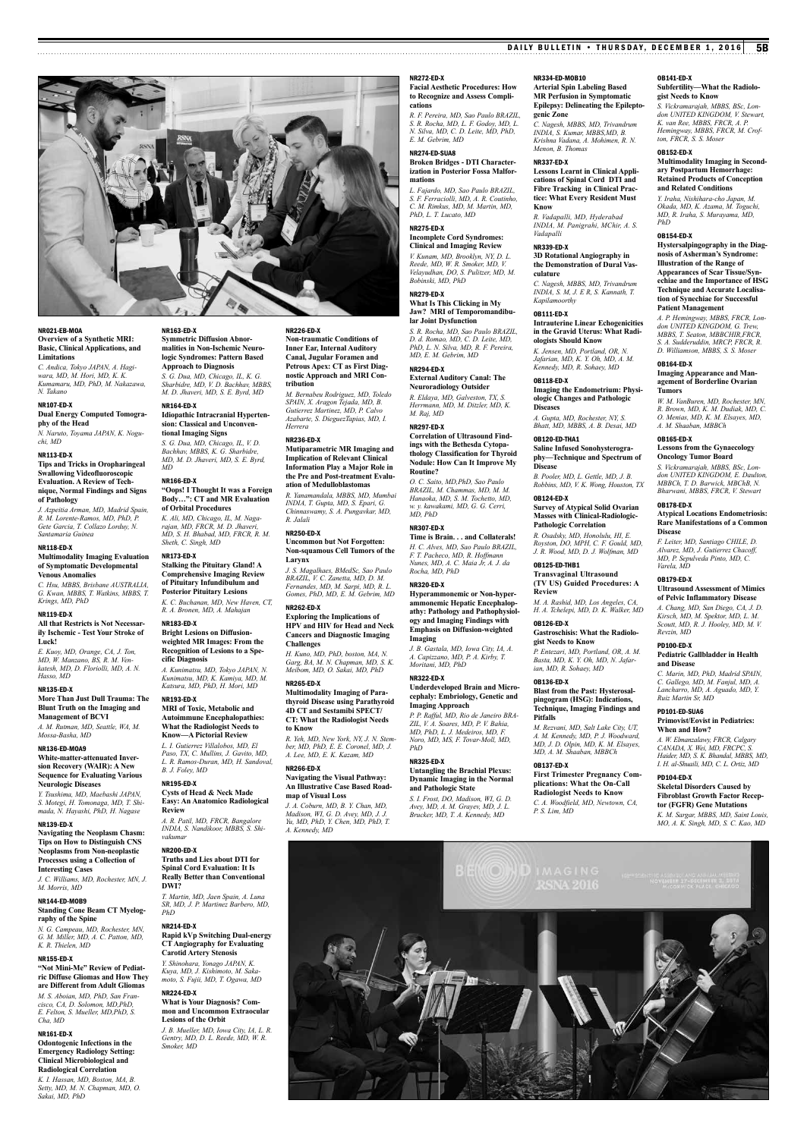### DAILY BULLETIN • THURSDAY, DECEMBER 1, 2016 5B

### **Facial Aesthetic Procedures: How to Recognize and Assess Compli-***R. F. Pereira, MD, Sao Paulo BRAZIL,*  NR334-ED-MOB10 **Arterial Spin Labeling Based MR Perfusion in Symptomatic Epilepsy: Delineating the Epilepto-**

NR272-ED-X

*E. M. Gebrim, MD* NR274-ED-SUA8

*PhD, L. T. Lucato, MD* NR275-ED-X

*Bobinski, MD, PhD* NR279-ED-X

**lar Joint Dysfunction**

*M. Raj, MD* NR297-ED-X

**Routine?**

*MD, PhD* NR307-ED-X

*Rocha, MD, PhD* NR320-ED-X

**Imaging**

*PhD* NR325-ED-X

*Moritani, MD, PhD* NR322-ED-X

**Imaging Approach**

*S. R. Rocha, MD, L. F. Godoy, MD, L. N. Silva, MD, C. D. Leite, MD, PhD,* 

**Broken Bridges - DTI Characterization in Posterior Fossa Malfor-**

*L. Fajardo, MD, Sao Paulo BRAZIL, S. F. Ferraciolli, MD, A. R. Coutinho, C. M. Rimkus, MD, M. Martin, MD,* 

**Incomplete Cord Syndromes: Clinical and Imaging Review** *V. Kunam, MD, Brooklyn, NY, D. L. Reede, MD, W. R. Smoker, MD, V. Velayudhan, DO, S. Pulitzer, MD, M.* 

**What Is This Clicking in My Jaw? MRI of Temporomandibu-**

*S. R. Rocha, MD, Sao Paulo BRAZIL, D. d. Romao, MD, C. D. Leite, MD, PhD, L. N. Silva, MD, R. F. Pereira, MD, E. M. Gebrim, MD* NR294-ED-X

**External Auditory Canal: The Neuroradiology Outsider** *R. Eldaya, MD, Galveston, TX, S. Herrmann, MD, M. Ditzler, MD, K.* 

**Correlation of Ultrasound Findings with the Bethesda Cytopathology Classification for Thyroid Nodule: How Can It Improve My** 

*O. C. Saito, MD,PhD, Sao Paulo BRAZIL, M. Chammas, MD, M. M. Hanaoka, MD, S. M. Tochetto, MD, w. y. kawakami, MD, G. G. Cerri,* 

**Time is Brain. . . and Collaterals!** *H. C. Alves, MD, Sao Paulo BRAZIL, F. T. Pacheco, MD, R. Hoffmann Nunes, MD, A. C. Maia Jr, A. J. da* 

**Hyperammonemic or Non-hyperammonemic Hepatic Encephalopathy: Pathology and Pathophysiology and Imaging Findings with Emphasis on Diffusion-weighted** 

*J. B. Gastala, MD, Iowa City, IA, A. A. Capizzano, MD, P. A. Kirby, T.* 

**Underdeveloped Brain and Microcephaly: Embriology, Genetic and** 

*P. P. Rafful, MD, Rio de Janeiro BRA-ZIL, V. A. Soares, MD, P. V. Bahia, MD, PhD, L. J. Medeiros, MD, F. Noro, MD, MS, F. Tovar-Moll, MD,* 

**Untangling the Brachial Plexus: Dynamic Imaging in the Normal and Pathologic State** *S. I. Frost, DO, Madison, WI, G. D. Avey, MD, A. M. Grayev, MD, J. L. Brucker, MD, T. A. Kennedy, MD*

 $\mathcal{U}(\mathcal{O})$ 

**cations**

**mations**

**genic Zone** *C. Nagesh, MBBS, MD, Trivandrum INDIA, S. Kumar, MBBS,MD, B. Krishna Vadana, A. Mohimen, R. N. Menon, B. Thomas*

# NR337-ED-X

**Lessons Learnt in Clinical Applications of Spinal Cord DTI and Fibre Tracking in Clinical Practice: What Every Resident Must Know** *R. Vadapalli, MD, Hyderabad* 

*INDIA, M. Panigrahi, MChir, A. S. Vadapalli*

# NR339-ED-X

**3D Rotational Angiography in the Demonstration of Dural Vasculature**

*C. Nagesh, MBBS, MD, Trivandrum INDIA, S. M, J. E R, S. Kannath, T. Kapilamoorthy*

# OB111-ED-X

**Intrauterine Linear Echogenicities in the Gravid Uterus: What Radiologists Should Know** *K. Jensen, MD, Portland, OR, N. Jafarian, MD, K. Y. Oh, MD, A. M. Kennedy, MD, R. Sohaey, MD*

# OB118-ED-X

**Imaging the Endometrium: Physiologic Changes and Pathologic Diseases** *A. Gupta, MD, Rochester, NY, S. Bhatt, MD, MBBS, A. B. Desai, MD*

OB120-ED-THA1 **Saline Infused Sonohysterography—Technique and Spectrum of Disease** *B. Pooler, MD, L. Gettle, MD, J. B.* 

*Robbins, MD, V. K. Wong, Houston, TX* OB124-ED-X

**Survey of Atypical Solid Ovarian Masses with Clinical-Radiologic-Pathologic Correlation** *R. Osadsky, MD, Honolulu, HI, E.* 

*Royston, DO, MPH, C. F. Gould, MD, J. R. Wood, MD, D. J. Wolfman, MD* OB125-ED-THB1

**Transvaginal Ultrasound (TV US) Guided Procedures: A Review**

*M. A. Rashid, MD, Los Angeles, CA, H. A. Tchelepi, MD, D. K. Walker, MD*

OB126-ED-X **Gastroschisis: What the Radiologist Needs to Know**

*P. Entezari, MD, Portland, OR, A. M. Basta, MD, K. Y. Oh, MD, N. Jafarian, MD, R. Sohaey, MD*

### OB136-ED-X

**Blast from the Past: Hysterosalpingogram (HSG): Indications, Technique, Imaging Findings and Pitfalls**

*M. Rezvani, MD, Salt Lake City, UT, A. M. Kennedy, MD, P. J. Woodward, MD, J. D. Olpin, MD, K. M. Elsayes, MD, A. M. Shaaban, MBBCh*

# OB137-ED-X **First Trimester Pregnancy Com-**

**plications: What the On-Call Radiologist Needs to Know** *C. A. Woodfield, MD, Newtown, CA, P. S. Lim, MD*

# OB141-ED-X

## **Subfertility—What the Radiologist Needs to Know**

*S. Vickramarajah, MBBS, BSc, Lon-don UNITED KINGDOM, V. Stewart, K. van Ree, MBBS, FRCR, A. P. Hemingway, MBBS, FRCR, M. Crofton, FRCR, S. S. Moser*

# OB152-ED-X

**Multimodality Imaging in Secondary Postpartum Hemorrhage: Retained Products of Conception and Related Conditions**

*Y. Iraha, Nishihara-cho Japan, M. Okada, MD, K. Azama, M. Toguchi, MD, R. Iraha, S. Murayama, MD, PhD*

# OB154-ED-X

**Hystersalpingography in the Diagnosis of Asherman's Syndrome: Illustration of the Range of Appearances of Scar Tissue/Synechiae and the Importance of HSG Technique and Accurate Localisation of Synechiae for Successful Patient Management**

*A. P. Hemingway, MBBS, FRCR, Lon-don UNITED KINGDOM, G. Trew, MBBS, T. Seaton, MBBCHIR,FRCR, S. A. Sudderuddin, MRCP, FRCR, R. D. Williamson, MBBS, S. S. Moser*

### OB164-ED-X **Imaging Appearance and Management of Borderline Ovarian Tumors**

*W. M. VanBuren, MD, Rochester, MN, R. Brown, MD, K. M. Dudiak, MD, C. O. Menias, MD, K. M. Elsayes, MD, A. M. Shaaban, MBBCh*

### OB165-ED-X **Lessons from the Gynaecology Oncology Tumor Board**

*S. Vickramarajah, MBBS, BSc, London UNITED KINGDOM, E. Daulton, MBBCh, T. D. Barwick, MBChB, N. Bharwani, MBBS, FRCR, V. Stewart*

# OB178-ED-X

### **Atypical Locations Endometriosis: Rare Manifestations of a Common Disease**

*F. Leiter, MD, Santiago CHILE, D. Alvarez, MD, J. Gutierrez Chacoff, MD, P. Sepulveda Pinto, MD, C. Varela, MD*

# OB179-ED-X

**Ultrasound Assessment of Mimics of Pelvic Inflammatory Disease** *A. Chang, MD, San Diego, CA, J. D. Kirsch, MD, M. Spektor, MD, L. M. Scoutt, MD, R. J. Hooley, MD, M. V. Revzin, MD*

# PD100-ED-X

# **Pediatric Gallbladder in Health and Disease**

*C. Marin, MD, PhD, Madrid SPAIN, C. Gallego, MD, M. Fanjul, MD, A. Lancharro, MD, A. Aguado, MD, Y. Ruiz Martin Sr, MD*

### PD101-ED-SUA6 **Primovist/Eovist in Pediatrics: When and How?**

*A. W. Elmanzalawy, FRCR, Calgary CANADA, X. Wei, MD, FRCPC, S. Haider, MD, S. K. Bhandal, MBBS, MD, I. H. al-Shuaili, MD, C. L. Ortiz, MD*

# PD104-ED-X **Skeletal Disorders Caused by**

**Fibroblast Growth Factor Receptor (FGFR) Gene Mutations** *K. M. Sargar, MBBS, MD, Saint Louis, MO, A. K. Singh, MD, S. C. Kao, MD*

# NR021-EB-MOA **Overview of a Synthetic MRI: Basic, Clinical Applications, and Limitations** *C. Andica, Tokyo JAPAN, A. Hagi-*

*wara, MD, M. Hori, MD, K. K. Kumamaru, MD, PhD, M. Nakazawa, N. Takano* NR107-ED-X

# **Dual Energy Computed Tomogra-**

**phy of the Head** *N. Naruto, Toyama JAPAN, K. Noguchi, MD*

# NR113-ED-X

**Tips and Tricks in Oropharingeal Swallowing Videofluoroscopic Evaluation. A Review of Technique, Normal Findings and Signs of Pathology**

*J. Azpeitia Arman, MD, Madrid Spain, R. M. Lorente-Ramos, MD, PhD, P. Gete Garcia, T. Collazo Lorduy, N. Santamaria Guinea*

# NR118-ED-X

**Multimodality Imaging Evaluation of Symptomatic Developmental Venous Anomalies** *C. Hsu, MBBS, Brisbane AUSTRALIA,* 

### *G. Kwan, MBBS, T. Watkins, MBBS, T. Krings, MD, PhD*

NR119-ED-X **All that Restricts is Not Necessarily Ischemic - Test Your Stroke of Luck!**

*E. Kuoy, MD, Orange, CA, J. Ton, MD, W. Manzano, BS, R. M. Venkatesh, MD, D. Floriolli, MD, A. N. Hasso, MD*

# NR135-ED-X **More Than Just Dull Trauma: The Blunt Truth on the Imaging and**

**Management of BCVI** *A. M. Rutman, MD, Seattle, WA, M.* 

# *Mossa-Basha, MD* NR136-ED-MOA9

**White-matter-attenuated Inversion Recovery (WAIR): A New Sequence for Evaluating Various Neurologic Diseases**

# *Y. Tsushima, MD, Maebashi JAPAN,*

*S. Motegi, H. Tomonaga, MD, T. Shi-mada, N. Hayashi, PhD, H. Nagase* NR139-ED-X **Navigating the Neoplasm Chasm: Tips on How to Distinguish CNS Neoplasms from Non-neoplastic Processes using a Collection of** 

# **Interesting Cases** *J. C. Williams, MD, Rochester, MN, J. M. Morris, MD*

NR144-ED-MOB9 **Standing Cone Beam CT Myelog-**

# **raphy of the Spine**

*N. G. Campeau, MD, Rochester, MN, G. M. Miller, MD, A. C. Patton, MD, K. R. Thielen, MD*

# NR155-ED-X

**"Not Mini-Me" Review of Pediatric Diffuse Gliomas and How They are Different from Adult Gliomas** *M. S. Aboian, MD, PhD, San Francisco, CA, D. Solomon, MD,PhD, E. Felton, S. Mueller, MD,PhD, S.* 

# *Cha, MD* NR161-ED-X

*Sakai, MD, PhD*

**Odontogenic Infections in the Emergency Radiology Setting: Clinical Microbiological and Radiological Correlation**

*K. I. Hassan, MD, Boston, MA, B. Setty, MD, M. N. Chapman, MD, O.* 

NR163-ED-X **Symmetric Diffusion Abnor-**

**malities in Non-Ischemic Neurologic Syndromes: Pattern Based Approach to Diagnosis** *S. G. Dua, MD, Chicago, IL, K. G. Sharbidre, MD, V. D. Bachhav, MBBS,*  NR226-ED-X

**tribution**

*Herrera* NR236-ED-X

*R. Jalali* NR250-ED-X

**Larynx**

NR262-ED-X

**Challenges**

NR265-ED-X

**to Know**

NR266-ED-X

**map of Visual Loss**

*A. Kennedy, MD*

**Non-traumatic Conditions of Inner Ear, Internal Auditory Canal, Jugular Foramen and Petrous Apex: CT as First Diagnostic Approach and MRI Con-**

*M. Bernabeu Rodriguez, MD, Toledo SPAIN, X. Aragon Tejada, MD, B. Gutierrez Martinez, MD, P. Calvo Azabarte, S. DieguezTapias, MD, I.* 

**Mutiparametric MR Imaging and Implication of Relevant Clinical Information Play a Major Role in the Pre and Post-treatment Evaluation of Medulloblastomas** *R. Yanamandala, MBBS, MD, Mumbai INDIA, T. Gupta, MD, S. Epari, G. Chinnaswamy, S. A. Pungavkar, MD,* 

**Uncommon but Not Forgotten: Non-squamous Cell Tumors of the** 

*J. S. Magalhaes, BMedSc, Sao Paulo BRAZIL, V. C. Zanetta, MD, D. M. Fernandes, MD, M. Sarpi, MD, R. L. Gomes, PhD, MD, E. M. Gebrim, MD*

**Exploring the Implications of HPV and HIV for Head and Neck Cancers and Diagnostic Imaging** 

*H. Kuno, MD, PhD, boston, MA, N. Garg, BA, M. N. Chapman, MD, S. K. Meibom, MD, O. Sakai, MD, PhD*

**Multimodality Imaging of Parathyroid Disease using Parathyroid 4D CT and Sestamibi SPECT/ CT: What the Radiologist Needs** 

*R. Yeh, MD, New York, NY, J. N. Stem-ber, MD, PhD, E. E. Coronel, MD, J. A. Lee, MD, E. K. Kazam, MD*

**Navigating the Visual Pathway: An Illustrative Case Based Road-**

*J. A. Coburn, MD, B. Y. Chan, MD, Madison, WI, G. D. Avey, MD, J. J. Yu, MD, PhD, Y. Chen, MD, PhD, T.* 

# *M. D. Jhaveri, MD, S. E. Byrd, MD* NR164-ED-X

**Idiopathic Intracranial Hypertension: Classical and Unconventional Imaging Signs**

*S. G. Dua, MD, Chicago, IL, V. D. Bachhav, MBBS, K. G. Sharbidre, MD, M. D. Jhaveri, MD, S. E. Byrd, MD*

# NR166-ED-X **"Oops! I Thought It was a Foreign Body…": CT and MR Evaluation**

**of Orbital Procedures** *K. Ali, MD, Chicago, IL, M. Nagarajan, MD, FRCR, M. D. Jhaveri, MD, S. H. Bhabad, MD, FRCR, R. M.* 

# *Sheth, C. Singh, MD* NR173-ED-X **Stalking the Pituitary Gland! A Comprehensive Imaging Review**

**of Pituitary Infundibulum and Posterior Pituitary Lesions** *K. C. Buchanan, MD, New Haven, CT,* 

*R. A. Bronen, MD, A. Mahajan*

### NR183-ED-X **Bright Lesions on Diffusionweighted MR Images: From the Recognition of Lesions to a Specific Diagnosis**

*A. Kunimatsu, MD, Tokyo JAPAN, N. Kunimatsu, MD, K. Kamiya, MD, M. Katsura, MD, PhD, H. Mori, MD*

### NR193-ED-X **MRI of Toxic, Metabolic and Autoimmune Encephalopathies: What the Radiologist Needs to**

**Know—A Pictorial Review** *L. I. Gutierrez Villalobos, MD, El Paso, TX, C. Mullins, J. Gavito, MD,* 

# *L. R. Ramos-Duran, MD, H. Sandoval, B. J. Foley, MD*

NR195-ED-X **Cysts of Head & Neck Made Easy: An Anatomico Radiological Review**

### *A. R. Patil, MD, FRCR, Bangalore INDIA, S. Nandikoor, MBBS, S. Shivakumar*

# NR200-ED-X

**Truths and Lies about DTI for Spinal Cord Evaluation: It Is Really Better than Conventional DWI?**

# *T. Martin, MD, Jaen Spain, A. Luna SR, MD, J. P. Martinez Barbero, MD, PhD*

NR214-ED-X **Rapid kVp Switching Dual-energy CT Angiography for Evaluating Carotid Artery Stenosis**

*Y. Shinohara, Yonago JAPAN, K. Kuya, MD, J. Kishimoto, M. Sakamoto, S. Fujii, MD, T. Ogawa, MD* NR224-ED-X **What is Your Diagnosis? Com-**

**mon and Uncommon Extraocular** 

*J. B. Mueller, MD, Iowa City, IA, L. R. Gentry, MD, D. L. Reede, MD, W. R.* 

**Lesions of the Orbit**

*Smoker, MD*